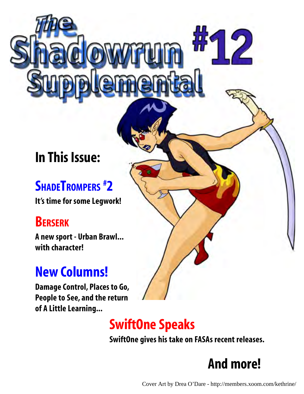## **In This Issue:**

## **SHADETROMPERS # 2**

**It's time for some Legwork!**

## **BERSERK**

**A new sport - Urban Brawl... with character!**

## **New Columns!**

**Damage Control, Places to Go, People to See, and the return of A Little Learning...**



## **SwiftOne Speaks**

**SwiftOne gives his take on FASAs recent releases.**

## **And more!**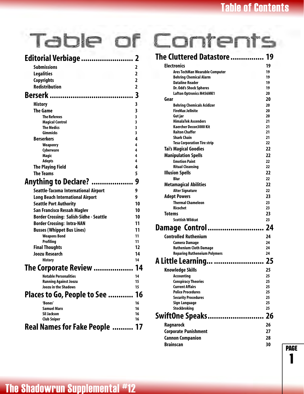page

1

| Editorial Verbiage                             | 2              |
|------------------------------------------------|----------------|
| <b>Submissions</b>                             | 2              |
| <b>Legalities</b>                              | $\overline{2}$ |
| <b>Copyrights</b>                              | $\overline{2}$ |
| <b>Redistribution</b>                          | $\overline{2}$ |
|                                                | 3              |
|                                                |                |
| <b>History</b>                                 | 3              |
| <b>The Game</b>                                | 3              |
| <b>The Referees</b>                            | 3<br>3         |
| <b>Magical Control</b><br><b>The Medics</b>    | 3              |
| <b>Gimmicks</b>                                | 3              |
| <b>Berserkers</b>                              | 4              |
| <b>Weaponry</b>                                | 4              |
| Cyberware                                      | 4              |
| Magic                                          | 4              |
| <b>Adepts</b>                                  | 4              |
| <b>The Playing Field</b>                       | 4              |
| <b>The Teams</b>                               | 5              |
| <b>Anything to Declare? </b>                   | 9              |
| Seattle-Tacoma International Airport           | 9              |
| <b>Long Beach International Airport</b>        | 9              |
| <b>Seattle Port Authority</b>                  | 10             |
| <b>San Francisco Ressah Maglev</b>             | 10             |
| <b>Border Crossing: Salish-Sidhe - Seattle</b> | 10             |
| <b>Border Crossing: Intra-NAN</b>              | 11             |
| <b>Busses (Whippet Bus Lines)</b>              | 11             |
| <b>Weapons Bond</b>                            | 11             |
| <b>Profiling</b>                               | 11             |
| <b>Final Thoughts</b>                          | 12             |
| <b>Joozu Research</b>                          | 14             |
| <b>History</b>                                 | 14             |
| The Corporate Review                           | 14             |
| <b>Notable Personalities</b>                   | 14             |
| <b>Running Against Joozu</b>                   | 15             |
| Joozu in the Shadows                           | 15             |
| Places to Go, People to See                    | 16             |
| 'Bones'                                        | 16             |
| Samuel Marx                                    | 16             |
| Sil Jackson                                    | 16             |
| Club Sniper                                    | 16             |
| Real Names for Fake People                     | 17             |

# Table of Contents

| The Cluttered Datastore             | 19 |
|-------------------------------------|----|
| <b>Electronics</b>                  | 19 |
| Ares TechMan Wearable Computer      | 19 |
| <b>Behring Chemical Alarm</b>       | 19 |
| <b>Dataline Reader</b>              | 19 |
| Dr. Odd's Shock Spheres             | 19 |
| <b>Lafton Optronics M456MK1</b>     | 20 |
| Gear                                | 20 |
| <b>Behring Chemicals Acidizer</b>   | 20 |
| <b>FireMax Jellnite</b>             | 20 |
| Gut jar                             | 20 |
| <b>HimalaTek Ascenders</b>          | 21 |
| Kaercher Decon3000 Kit              | 21 |
| <b>Raiton Chaffer</b>               | 21 |
| <b>Shark Chain</b>                  | 21 |
| <b>Tesa Corporation Tire strip</b>  | 22 |
| <b>Tai's Magical Goodies</b>        | 22 |
| <b>Manipulation Spells</b>          | 22 |
| <b>Emotion Paint</b>                | 22 |
| <b>Ritual Cleansing</b>             | 22 |
| <b>Illusion Spells</b>              | 22 |
| <b>Rlur</b>                         | 22 |
| <b>Metamagical Abilities</b>        | 22 |
| <b>Alter Signature</b>              | 22 |
| <b>Adept Powers</b>                 | 23 |
| <b>Thermal Chameleon</b>            | 23 |
| <b>Ricochet</b>                     | 23 |
| Totems                              | 23 |
| <b>Scottish Wildcat</b>             | 23 |
| Damage Control                      | 24 |
| <b>Controlled Ruthenium</b>         | 24 |
| <b>Camera Damage</b>                | 24 |
| <b>Ruthenium Cloth Damage</b>       | 24 |
| <b>Reparing Rutheneium Polymers</b> | 24 |
|                                     | 25 |
| <b>Knowledge Skills</b>             | 25 |
| Accounting                          | 25 |
| <b>Conspiracy Theories</b>          | 25 |
| <b>Current Affairs</b>              | 25 |
| <b>Police Procedures</b>            | 25 |
| <b>Security Procedures</b>          | 25 |
| Sign Language                       | 25 |
| <b>Stockbroking</b>                 | 25 |
|                                     | 26 |
| <b>Ragnarock</b>                    | 26 |
| <b>Corporate Punishment</b>         | 27 |
| <b>Cannon Companion</b>             | 28 |
| <b>Brainscan</b>                    | 30 |
|                                     |    |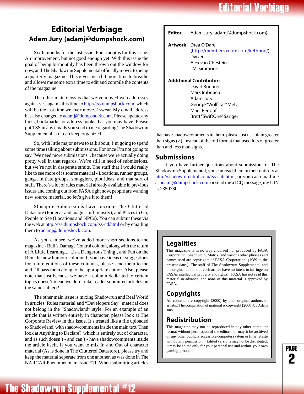## **Editorial Verbiage**

## <span id="page-2-0"></span>**Editorial Verbiage Adam Jury [\(adamj@dumpshock.com](mailto:adamj@dumpshock.com))**

Sixth months for the last issue. Four months for this issue. An improvement, but not good enough yet. With this issue the goal of being bi-monthly has been thrown out the window for now, and The Shadowrun Supplemental officially moves to being a quarterly magazine. This gives me a bit more time to breathe and allows me some extra time to edit and compile the contents of the magazine.

The other main news is that we've moved web addresses again - yes, again - this time to [http://tss.dumpshock.com,](http://tss.dumpshock.com) which will be the last time we **ever** move. I swear. My email address has also changed to [adamj@dumpshock.com.](mailto:adamj@dumpshock.com) Please update any links, bookmarks, or address books that you may have. Please put TSS in any emails you send to me regarding The Shadowrun Supplemental, so I can keep organized.

So, with little major news to talk about, I'm going to spend some time talking about submissions. For once I'm not going to say "We need more submissions", because we're actually doing pretty well in that regards. We're still in need of submissions, but we're not in desperate straits. The stuff that I would really like to see more of is source material - Locations, runner groups, gangs, initiate groups, smugglers, plot ideas, and that sort of stuff. There's a lot of rules material already available in previous issues and coming out from FASA right now, people are wanting new source material, so let's give it to them!

Slushpile Submissions have become The Cluttered Datastore (For gear and magic stuff, mostly), and Places to Go, People to See (Locations and NPCs). You can submit these via the web at [http://tss.dumpshock.com/tss-cd.html o](http://tss.dumpshock.com/tss-cd.html)r by emailing them to [adamj@dumpshock.com.](mailto:adamj@dumpshock.com)

As you can see, we've added more short sections to the magazine - Bull's Damage Control column, along with the return of A Little Learning... ...is a Dangerous Thing!, and Fun on the Run, the new humour column. If you have ideas or suggestions for future editions of these columns, please send them to me and I'll pass them along to the appropriate author. Also, please note that just because we have a column dedicated to certain topics doesn't mean we don't take reader submitted articles on the same subject!

The other main issue is mixing Shadowrun and Real World in articles. Rules material and "Developers Say" material does not belong in the "Shadowland" style. For an example of an article that is written entirely in character, please look at The Corporate Review in this issue. It's treated like a file uploaded to Shadowland, with shadowcomments inside the main text. Then look at Anything to Declare? which is entirely out of character, and as such doesn't - and can't - have shadowcomments inside the article itself. If you want to mix In and Out of character material (As is done in The Cluttered Datastore), please try and keep the material seperate from one another, as was done in The NARCAR Phenomenon in issue #11. When submitting articles

| Editor | Adam Jury (adamj@dumpshock.com)                                                                                                                   |
|--------|---------------------------------------------------------------------------------------------------------------------------------------------------|
|        | <b>Artwork</b> Drea O'Dare<br>(http://members.xoom.com/kethrine/)<br>Dvixen<br>Alex van Chestein<br><b>I.M. Simmons</b>                           |
|        | <b>Additional Contributors</b><br>David Buehrer<br>Mark Imbriaco<br>Adam Jury<br>George "Wolfstar" Metz<br>Marc Renouf<br>Brett "SwiftOne" Sanger |

that have shadowcomments in them, please just use plain greater than signs (>), instead of the old format that used lots of greater than and less than signs.

### **Submissions**

If you have further questions about submission for The Shadowrun Supplemental, you can read them in their entirety at [http://shadowrun.html.com/tss-sub.html,](http://shadowrun.html.com/tss-sub.html) or you can email me at [adamj@dumpshock.com,](mailto:adamj@dumpshock.com) or send me a ICQ message, my UIN is 2350330.

### **Legalities**

This magazine is in no way endorsed nor produced by FASA Corporation. Shadowrun, Matrix, and various other phrases and names used are copyrights of FASA Corporation (1989 to the present date.). The staff of The Shadowrun Supplemental and the original authors of each article have no intent to infringe on FASAs intellectual property and rights. FASA has not read this material in advance, and none of this material is approved by FASA.

## **Copyrights**

All contents are copyright (2000) by their original authors or artists.. The compilation of material is copyright (2000) by Adam Jury.

## **Redistribution**

This magazine may not be reproduced in any other computer format without permission of the editor, nor may it be archived on any other publicly accessible computer system or Internet site without my permission. Edited versions may not be distributed, it may be edited only for your personal use and within your own gaming group.

page —<br>2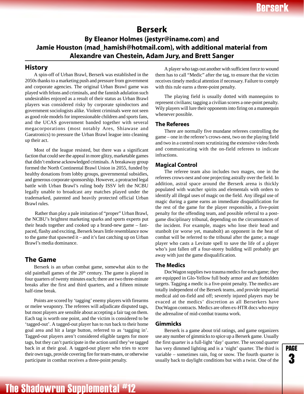## **Berserk**

### <span id="page-3-0"></span>**By Eleanor Holmes (jestyr@iname.com) and Jamie Houston (mad\_hamish@hotmail.com), with additional material from Alexandre van Chestein, Adam Jury, and Brett Sanger**

### **History**

A spin-off of Urban Brawl, Berserk was established in the 2050s thanks to a marketing push and pressure from government and corporate agencies. The original Urban Brawl game was played with felons and criminals, and the fannish adulation such undesirables enjoyed as a result of their status as Urban Brawl players was considered risky by corporate spindoctors and government sociologists alike. Violent criminals were not seen as good role models for impressionable children and sports fans, and the UCAS government banded together with several megacorporations (most notably Ares, Shiawase and Gaeatronics) to pressure the Urban Brawl league into cleaning up their act.

Most of the league resisted, but there was a significant faction that could see the appeal in more glitzy, marketable games that didn't endorse acknowledged criminals. A breakaway group formed the North Continental Brawl Union in 2055, funded by healthy donations from lobby groups, governmental subsidies, and generous corporate sponsorship. However, a protracted legal battle with Urban Brawl's ruling body ISSV left the NCBU legally unable to broadcast any matches played under the trademarked, patented and heavily protected official Urban Brawl rules.

 Rather than play a pale imitation of "proper" Urban Brawl, the NCBU's brightest marketing sparks and sports experts put their heads together and cooked up a brand-new game – fastpaced, flashy and exciting, Berserk bears little resemblance now to the game that spawned it – and it's fast catching up on Urban Brawl's media dominance.

### **The Game**

Berserk is an urban combat game, somewhat akin to the old paintball games of the  $20<sup>th</sup>$  century. The game is played in four quarters of twenty minutes each; there are two three-minute breaks after the first and third quarters, and a fifteen minute half-time break.

Points are scored by 'tagging' enemy players with firearms or melee weaponry. The referees will adjudicate disputed tags, but most players are sensible about accepting a fair tag on them. Each tag is worth one point, and the victim is considered to be 'tagged-out'. A tagged-out player has to run back to their home goal area and hit a large button, referred to as 'tagging in'. Tagged-out players aren't considered eligible targets for more tags, but they can't participate in the action until they've tagged back in at their goal. A tagged-out player who tries to score their own tags, provide covering fire for team-mates, or otherwise participate in combat receives a three-point penalty.

A player who tags out another with sufficient force to wound them has to call "Medic" after the tag, to ensure that the victim receives timely medical attention if necessary. Failure to comply with this rule earns a three-point penalty.

The playing field is usually dotted with mannequins to represent civilians; tagging a civilian scores a one-point penalty. Wily players will lure their opponents into firing on a mannequin whenever possible.

### **The Referees**

There are normally five mundane referees controlling the game – one in the referee's crows-nest, two on the playing field and two in a control room scrutinizing the extensive video feeds and communicating with the on-field referees to indicate infractions.

### **Magical Control**

The referee team also includes two mages, one in the referees crows-nest and one projecting astrally over the field. In addition, astral space around the Berserk arena is thickly populated with watcher spirits and elementals with orders to identify all illegal uses of magic on the field. Any illegal use of magic during a game earns an immediate disqualification for the rest of the game for the player responsible, a five-point penalty for the offending team, and possible referral to a postgame disciplinary tribunal, depending on the circumstances of the incident. For example, mages who lose their head and stunbolt (or worse yet, manabolt) an opponent in the heat of combat will be referred to the tribunal after the game; a mage player who casts a Levitate spell to save the life of a player who's just fallen off a four-storey building will probably get away with just the game disqualification.

### **The Medics**

DocWagon supplies two trauma medics for each game; they are equipped in Glo-Yellow full body armor and are forbidden targets. Tagging a medic is a five-point penalty. The medics are totally independent of the Berserk teams, and provide impartial medical aid on-field and off; severely injured players may be evaced at the medics' discretion as all Berserkers have DocWagon contracts. Medics are often ex-HTR docs who enjoy the adrenaline of mid-combat trauma work.

### **Gimmicks**

Berserk is a game about trid ratings, and game organizers use any number of gimmicks to spice up a Berserk game. Usually the first quarter is a full-light 'day' quarter. The second quarter has very dimmed lighting and is a 'night' quarter. The third is variable – sometimes rain, fog or snow. The fourth quarter is usually back to daylight conditions but with a twist. One of the

page —<br>3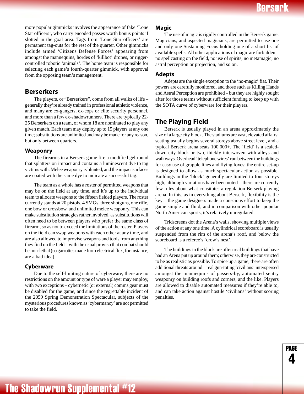page ...<br>4

<span id="page-4-0"></span>more popular gimmicks involves the appearance of fake 'Lone Star officers', who carry encoded passes worth bonus points if slotted in the goal area. Tags from 'Lone Star officers' are permanent tag-outs for the rest of the quarter. Other gimmicks include armed 'Citizens Defense Forces' appearing from amongst the mannequins, hordes of 'killbot' drones, or riggercontrolled robotic 'animals'. The home team is responsible for selecting each game's fourth-quarter gimmick, with approval from the opposing team's management.

### **Berserkers**

The players, or "Berserkers", come from all walks of life – generally they're already trained in professional athletic violence, and many are ex-gangers, ex-cops or elite security personnel, and more than a few ex-shadowrunners. There are typically 22- 25 Berserkers on a team, of whom 18 are nominated to play any given match. Each team may deploy up to 15 players at any one time; substitutions are unlimited and may be made for any reason, but only between quarters.

### **Weaponry**

The firearms in a Berserk game fire a modified gel round that splatters on impact and contains a luminescent dye to tag victims with. Melee weaponry is blunted, and the impact surfaces are coated with the same dye to indicate a successful tag.

The team as a whole has a roster of permitted weapons that may be on the field at any time, and it's up to the individual team to allocate weapons to the fifteen fielded players. The roster currently stands at 20 pistols, 4 SMGs, three shotguns, one rifle, one bow or crossbow, and unlimited melee weaponry. This can make substitution strategies rather involved, as substitutions will often need to be between players who prefer the same class of firearm, so as not to exceed the limitations of the roster. Players on the field can swap weapons with each other at any time, and are also allowed to improvise weapons and tools from anything they find on the field – with the usual proviso that combat should be non-lethal (so garrottes made from electrical flex, for instance, are a bad idea).

### **Cyberware**

Due to the self-limiting nature of cyberware, there are no restrictions on the amount or type of ware a player may employ, with two exceptions – cybernetic (or external) comms gear must be disabled for the game, and since the regrettable incident of the 2059 Spring Demonstration Spectacular, subjects of the mysterious procedures known as 'cybermancy' are not permitted to take the field.

### **Magic**

The use of magic is rigidly controlled in the Berserk game. Magicians, and aspected magicians, are permitted to use one and only one Sustaining Focus holding one of a short list of available spells. All other applications of magic are forbidden – no spellcasting on the field, no use of spirits, no metamagic, no astral perception or projection, and so on.

#### **Adepts**

Adepts are the single exception to the 'no-magic' fiat. Their powers are carefully monitored, and those such as Killing Hands and Astral Perception are prohibited – but they are highly sought after for those teams without sufficient funding to keep up with the SOTA curve of cyberware for their players.

### **The Playing Field**

Berserk is usually played in an arena approximately the size of a large city block. The stadiums are vast, elevated affairs; seating usually begins several storeys above street level, and a typical Berserk arena seats 100,000+. The 'field' is a scaleddown city block or two, thickly interwoven with alleys and walkways. Overhead 'telephone wires' run between the buildings for easy use of grapple lines and flying foxes; the entire set-up is designed to allow as much spectacular action as possible. Buildings in the 'block' generally are limited to four storeys high, although variations have been noted – there are currently few rules about what consitutes a regulation Berserk playing arena. In this, as in everything about Berserk, flexibility is the key – the game designers made a conscious effort to keep the game simple and fluid, and in comparison with other popular North American sports, it's relatively unregulated.

Tridscreens dot the Arena's walls, showing multiple views of the action at any one time. A cylindrical scoreboard is usually suspended from the rim of the arena's roof, and below the scoreboard is a referee's 'crow's nest'.

The buildings in the block are often real buildings that have had an Arena put up around them; otherwise, they are constructed to be as realistic as possible. To spice up a game, there are often additional threats around – real gun-toting 'civilians' interspersed amongst the mannequins of passers-by, automated sentry weaponry on building roofs and corners, and the like. Players are allowed to disable automated measures if they're able to, and can take action against hostile 'civilians' without scoring penalties.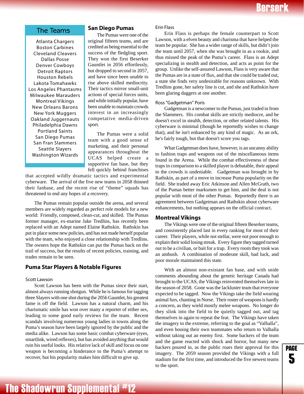### <span id="page-5-0"></span>The Teams

Atlanta Chargers Boston Carbines Cleveland Cleavers Dallas Posse Denver Cowboys Detroit Raptors Houston Rebels Lakota Tomahawks Los Angeles Phantasms Milwaukee Marauders Montreal Vikings New Orleans Barons New York Muggers Oakland Juggernauts Philadelphia Dawns Portland Saints San Diego Pumas San Fran Slammers Seattle Slayers Washington Wizards

### **San Diego Pumas**

The Pumas were one of the original fifteen teams, and are credited as being essential to the success of the fledgling sport. They won the first Beserker Gauntlet in 2056 effortlessly, but dropped to second in 2057, and have since been unable to rise above skilled mediocrity. Their tactics mirror small-unit actions of special forces units, and while initially popular, have been unable to maintain crowds interest in an increasingly competative media-driven sport.

The Pumas were a solid team with a good sense of marketing, and their personal appearances throughout the UCAS helped create a supportive fan base, but they fell quickly behind franchises

that accepted wildly dramatic tactics and experimental cyberware. The arrival of the five new teams in 2058 thinned their fanbase, and the recent rise of "theme" squads has threatened to end any hopes of a recovery.

The Pumas remain popular outside the arena, and several members are widely regarded as perfect role models for a new world: Friendly, composed, clean-cut, and skilled. The Pumas former manager, ex-marine Jake Tredlins, has recently been replaced with an Adept named Elaine Rathskin. Rathskin has put in place some new policies, and has not made herself popular with the team, who enjoyed a close relationship with Tredlins. The owners hope the Rathskin can put the Pumas back on the trail of success, but the results of recent policies, training, and trades remain to be seen.

### **Puma Star Players & Notable Figures**

#### Scott Lawson

Scott Lawson has been with the Pumas since their start, almost always running shotgun. While he is famous for tagging three Slayers with one shot during the 2056 Gauntlet, his greatest fame is off the field. Lawson has a natural charm, and his charismatic smile has won over many a reporter of either sex, leading to some good early reviews for the team. Recent scandals involving numerous young ladies in towns along the Puma's season have been largely ignored by the public and the media alike. Lawson has some basic combat cyberware (eyes, smartlink, wired reflexes), but has avoided anything that would ruin his useful looks. His relative lack of skill and focus on one weapon is becoming a hinderance to the Puma's attempt to recover, but his popularity makes him difficult to give up.

#### Erin Flass

Erin Flass is perhaps the female counterpart to Scott Lawson, with a elven beauty and charisma that have helped the team be popular. She has a wider range of skills, but didn't join the team until 2057, when she was brought in as a rookie, and thus missed the peak of the Puma's career. Flass is an Adept specializing in stealth and detection, and acts as point for the group. Unlike the self-assured Lawson, Flass is very aware that the Pumas are in a state of flux, and that she could be traded out, a state she finds very undesirable for reasons unknown. With Tredlins gone, her safety line is cut, and she and Rathskin have been glaring daggers at one another.

#### Ross "Gadgetman" Poris

Gadgetman is a newcomer to the Pumas, just traded in from the Slammers. His combat skills are strictly mediocre, and he doesn't excel in stealth, detection, or other related talents. His cyberware is minimal (though he reportedly wishes to change that), and he isn't enhanced by any kind of magic. As an ork, he's fairly tough, but that doesn't score you tags.

What Gadgetman does have, however, is an uncanny ability to fashion traps and weapons out of the miscellaneous items found in the Arena. While the combat effectiveness of these traps in comparison to a skilled player is debatable, their appeal to the crowds is undeniable. Gadgetman was brought in by Rathskin, as part of a move to increase Puma popularity on the field. She traded away Eric Atkinson and Allen McGrath, two of the Pumas better marksmen to get him, and the deal is not popular with most of the other Pumas. Reportedly there is an agreement between Gadgetman and Rathskin about cyberware enhancements, but nothing appears on the official contract.

#### **Montreal Vikings**

The Vikings were one of the original fifteen Beserker teams, and consistently placed last in every ranking for most of their career. Their players, while not stellar, were not poor enough to explain their solid losing streak. Every figure they tagged turned out to be a civilian, or bait for a trap. Every room they took was an ambush. A combination of moderate skill, bad luck, and poor morale maintained this state.

With an almost non-existant fan base, and with snide comments abounding about the genetic heritage Canada had brought to the UCAS, the Vikings reinvented themselves late in the season of 2058. Gone was the lackluster team that everyone expected to be tagged. Now the Vikings take the field wearing animal furs, chanting in Norse. Their roster of weapons is hardly a concern, as they wield mostly melee weapons. No longer do they slink into the field to be quietly tagged out, and tag themselves in again to repeat the feat. The Vikings have taken the imagery to the extreme, referring to the goal as "Valhalla", and even booing their own teammates who return to Valhalla without taking out an enemy first. Some backers of the team and the game reacted with shock and horror, but many new backers poured in, as the public roars their approval for this imagery. The 2059 season provided the Vikings with a full stadium for the first time, and introduced the five newest teams to the sport.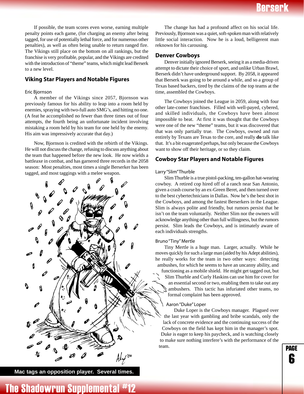If possible, the team scores even worse, earning multiple penalty points each game, (for charging an enemy after being tagged, for use of potentially lethal force, and for numerous other penalties), as well as often being unable to return ranged fire. The Vikings still place on the bottom on all rankings, but the franchise is very profitable, popular, and the Vikings are credited with the introduction of "theme" teams, which might lead Berserk to a new level.

### **Viking Star Players and Notable Figures**

#### Eric Bjornson

A member of the Vikings since 2057, Bjornson was previously famous for his ability to leap into a room held by enemies, spraying with two-full auto SMG's, and hitting no one. (A feat he accomplished no fewer than three times out of four attempts, the fourth being an unfortunate incident involving mistaking a room held by his team for one held by the enemy. His aim was impressively accurate that day.)

Now, Bjornson is credited with the rebirth of the Vikings. He will not discuss the change, refusing to discuss anything about the team that happened before the new look. He now wields a battleaxe in combat, and has garnered three records in the 2058 season: Most penalties, most times a single Berserker has been tagged, and most taggings with a melee weapon.



**Mac tags an opposition player. Several times.**

The change has had a profound affect on his social life. Previously, Bjornson was a quiet, soft-spoken man with relatively little social interaction. Now he is a loud, belligerent man reknown for his carousing.

#### **Denver Cowboys**

Denver initially ignored Berserk, seeing it as a media-driven attempt to dictate their choice of sport, and unlike Urban Brawl, Berserk didn't have underground support. By 2058, it appeared that Berserk was going to be around a while, and so a group of Texas based backers, tired by the claims of the top teams at the time, assembled the Cowboys.

The Cowboys joined the League in 2059, along with four other late-comer franchises. Filled with well-payed, cybered, and skilled individuals, the Cowboys have been almost impossible to beat. At first it was thought that the Cowboys were one of the new "theme" teams, but it was discovered that that was only partially true. The Cowboys, owned and run entirely by Texans are Texas to the core, and really **do** talk like that. It's a bit exagerated perhaps, but only because the Cowboys want to show off their heritage, or so they claim.

### **Cowboy Star Players and Notable Figures**

#### Larry "Slim" Thurble

Slim Thurble is a true pistol-packing, ten-gallon hat-wearing cowboy. A retired cop hired off of a ranch near San Antonio, given a crash course by an ex-Green Beret, and then turned over to the best cybertechnicians in Dallas. Now he's the best shot in the Cowboys, and among the fastest Berserkers in the League. Slim is always polite and friendly, but rumors persist that he isn't on the team voluntarily. Neither Slim nor the owners will acknowledge anything other than full willingness, but the rumors persist. Slim leads the Cowboys, and is intimately aware of each individuals strengths.

#### Bruno "Tiny" Mertle

Tiny Mertle is a huge man. Larger, actually. While he moves quickly for such a large man (aided by his Adept abilities), he really works for the team in two other ways: detecting ambushes, for which he seems to have an uncanny ability, and functioning as a mobile shield. He might get tagged out, but Slim Thurble and Curly Haskins can use him for cover for an essential second or two, enabling them to take out any ambushers. This tactic has infuriated other teams, no formal complaint has been approved.

#### Aaron "Duke" Loper

Duke Loper is the Cowboys manager. Plagued over the last year with gambling and bribe scandals, only the lack of concrete evidence and the continuing success of the Cowboys on the field has kept him in the manager's spot. Duke is eager to keep his paycheck, and is watching closely to make sure nothing interfere's with the performance of the team.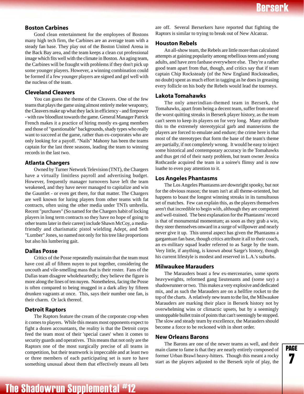### **Boston Carbines**

Good clean entertainment for the employees of Bostons many high tech firm, the Carbines are an average team with a steady fan base. They play out of the Boston United Arena in the Back Bay area, and the team keeps a clean cut professional image which fits well with the climate in Boston. An aging team, the Carbines will be fraught with problems if they don't pick up some younger players. However, a winning combination could be formed if a few younger players are signed and gel well with the nucleus of the team.

### **Cleveland Cleavers**

You can guess the theme of the Cleavers. One of the few teams that plays the game using almost entirely melee weaponry, the Cleavers make up what they lack in efficiency - and firepower - with raw bloodlust towards the game. General Manager Patrick French makes it a practice of hiring mostly ex-gang members and those of "questionable" backgrounds, shady types who really want to succeed at the game, rather than ex-corporates who are only looking for a payoff. "Nails" Mahony has been the teams captain for the last three seasons, leading the team to winning records in the last two.

### **Atlanta Chargers**

Owned by Turner Network Television (TNT), the Chargers have a virtually limitless payroll and advertising budget. However, frequently manager turnovers have left the team weakened, and they have never managed to capitalize and win the Gauntlet - or even get there, for that matter. The Chargers are well known for luring players from other teams with fat contracts, often using the other media under TNTs umbrella. Recent "purchases" (So named for the Chargers habit of locking players in long term contracts so they have no hope of going to other teams later in their career) include Shawn McCoy, a mediafriendly and charismatic pistol wielding Adept, and Seth "Lumber" Jones, so named not only for his tree like proportions but also his lumbering gait.

### **Dallas Posse**

Critics of the Posse repeatedly maintain that the team must have cost all of fifteen nuyen to put together, considering the uncouth and vile-smelling mass that is their roster. Fans of the Dallas team disagree wholeheartedly; they believe the figure is more along the lines of ten nuyen. Nonetheless, facing the Posse is often compared to being mugged in a dark alley by fifteen drunken vagrants at once. This, says their number one fan, is their charm. Or lack thereof.

### **Detroit Raptors**

The Raptors feature the cream of the corporate crop when it comes to players. While this means most opponents expect to fight a dozen accountants, the reality is that the Detroit corps feed the team most of their 'special cases' when it comes to security guards and operatives. This means that not only are the Raptors one of the most surgically precise of all teams in competition, but their teamwork is impeccable and at least two or three members of each participating set is sure to have something unusual about them that effectively means all bets

are off. Several Berserkers have reported that fighting the Raptors is similar to trying to break out of New Alcatraz.

### **Houston Rebels**

An all-show team, the Rebels are little more than calculated attempts at gaining popularity among rebellious teens and young adults, and have zero fanbase everywhere else. They're a rather good team apart from that, though, and critics say that if team captain Chip Rocksteady (of the New England Rocksteadies, no doubt) spent as much effort in tagging as he does in greasing every follicle on his body the Rebels would lead the tourneys.

### **Lakota Tomahawks**

The only amerindian-themed team in Berserk, the Tomahawks, apart from being a decent team, suffer from one of the worst quitting streaks in Berserk player history, as the team can't seem to keep its players on for very long. Many attribute this to the extremely stereotypical garb and mannerisms the players are forced to emulate and endure; the crime here is that most of the stereotypes that form the base of the team's theme are partially, if not completely wrong. It would be easy to inject some historical and contemporary accuracy in the Tomahawks and thus get rid of their nasty problem, but team owner Jessica Rothcastle acquired the team in a soiree's flimsy and is now loathe to even pay attention to it.

### **Los Angeles Phantasms**

The Los Angeles Phantasms are downright spooky, but not for the obvious reason; the team isn't at all theme-oriented, but happens to boast the longest winning streaks in its tumultuous set of matches. Few can explain this, as the players themselves aren't that incredible to begin with, although they are competent and well-trained. The best explanation for the Phantasms' record is that of monumental momentum; as soon as they grab a win, they steer themselves onward in a surge of willpower and nearly never give it up. This unreal aspect has given the Phantasms a gargantuan fan base, though critics attribute it all to their coach, an ex-military squad leader referred to as Sarge by the team. Very little, if anything, is known about Sarge's history, though his current lifestyle is modest and reserved in L.A.'s suburbs.

### **Milwaukee Marauders**

The Marauders boast a few ex-mercenaries, some sports heavyweights, reformed gang lieutenants and (some say) a shadowrunner or two. This makes a very explosive and dedicated mix, and as such the Marauders are on a hellfire rocket to the top of the charts. A relatively new team to the list, the Milwaukee Marauders are marking their place in Berserk history not by overwhelming wins or climactic upsets, but by a seemingly unstoppable bullet train of points that can't seemingly be stopped. The slow and steady team by excellence, the Marauders should become a force to be reckoned with in short order.

### **New Orleans Barons**

The Barons are one of the newer teams as well, and their main clame to fame is that they are nearly entirely composed of former Urban Brawl heavy-hitters. Though this meant a rocky start as the players adjusted to the Berserk style of play, the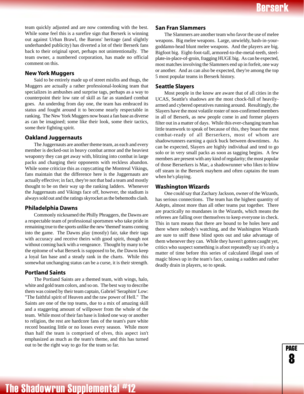page 8

team quickly adjusted and are now contending with the best. While some feel this is a surefire sign that Berserk is winning out against Urban Brawl, the Barons' heritage (and slightly underhanded publicity) has diverted a lot of their Berserk fans back to their original sport, perhaps not unintentionally. The team owner, a numbered corporation, has made no official comment on this.

### **New York Muggers**

Said to be entirely made up of street misfits and thugs, the Muggers are actually a rather professional-looking team that specializes in ambushes and surprise tags, perhaps as a way to counterpoint their low rate of skill as far as standard combat goes. An underdog from day one, the team has embraced its status and fought around it to become nearly respectable in ranking. The New York Muggers now boast a fan base as diverse as can be imagined; some like their look, some their tactics, some their fighting spirit.

#### **Oakland Juggernauts**

The Juggernauts are another theme team, as each and every member is decked-out in heavy combat armor and the heaviest weaponry they can get away with, blitzing into combat in large packs and charging their opponents with reckless abandon. While some criticize this as copycatting the Montreal Vikings, fans maintain that the difference here is the Juggernauts are actually effective; in fact, they're not that bad a team and mostly thought to be on their way up the ranking ladders. Whenever the Juggernauts and Vikings face off, however, the stadium is always sold out and the ratings skyrocket as the behemoths clash.

#### **Philadelphia Dawns**

Commonly nicknamed the Philly Phraggers, the Dawns are a respectable team of professional sportsmen who take pride in remaining true to the sports unlike the new 'themed' teams coming into the game. The Dawns play (mostly) fair, take their tags with accuracy and receive theirs with good spirit, though not without coming back with a vengeance. Thought by many to be the epitome of what Berserk is supposed to be, the Dawns keep a loyal fan base and a steady rank in the charts. While this somewhat unchanging status can be a curse, it is their strength.

### **Portland Saints**

The Portland Saints are a themed team, with wings, halo, white and gold team colors, and so on. The best way to describe them was coined by their team captain, Gabriel 'Seraphim' Low: "The faithful spirit of Heaven and the raw power of Hell." The Saints are one of the top teams, due to a mix of amazing skill and a staggering amount of willpower from the whole of the team. While most of their fan base is linked one way or another to religion, the rest are hardcore fans of the team's pure white record boasting little or no losses every season. While more than half the team is comprised of elves, this aspect isn't emphasized as much as the team's theme, and this has turned out to be the right way to go for the team so far.

### **San Fran Slammers**

The Slammers are another team who favor the use of melee weapons. Big melee weapons. Large, unwieldy, bash-in-yourgoddamn-head blunt melee weapons. And the players are big. Bigfoot big. Eight-foot-tall, armored-to-the-metal-teeth, steelplate-in-place-of-groin, fragging HUGE big. As can be expected, most matches involving the Slammers end up in forfeit, one way or another. And as can also be expected, they're among the top 5 most popular teams in Berserk history.

### **Seattle Slayers**

Most people in the know are aware that of all cities in the UCAS, Seattle's shadows are the most chock-full of heavilyarmed and cybered operatives running around. Resultingly, the Slayers have the most volatile roster of non-confirmed members in all of Berserk, as new people come in and former players filter out in a matter of days. While this ever-changing team has little teamwork to speak of because of this, they boast the most combat-ready of all Berserkers, most of whom are shadowrunners earning a quick buck between downtimes. As can be expected, Slayers are highly individual and tend to go solo or in very small packs as soon as tagging begins. A few members are present with any kind of regularity; the most popular of those Berserkers is Mac, a shadowrunner who likes to blow off steam in the Berserk mayhem and often captains the team when he's playing.

#### **Washington Wizards**

One could say that Zachary Jackson, owner of the Wizards, has serious connections. The team has the highest quantity of Adepts, almost more than all other teams put together. There are practically no mundanes in the Wizards, which means the referees are falling over themselves to keep everyone in check. This in turn means that there are bound to be holes here and there where nobody's watching, and the Washington Wizards are sure to sniff these blind spots out and take advantage of them whenever they can. While they haven't gotten caught yet, critics who suspect something is afoot repeatedly say it's only a matter of time before this series of calculated illegal uses of magic blows up in the team's face, causing a sudden and rather deadly drain in players, so to speak.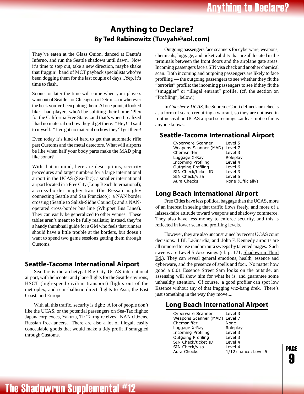## **Anything to Declare? By Ted Rabinowitz (Tuvyah@aol.com)**

<span id="page-9-0"></span>They've eaten at the Glass Onion, danced at Dante's Inferno, and run the Seattle shadows until dawn. Now it's time to step out, take a new direction, maybe shake that fraggin' band of MCT payback specialists who've been dogging them for the last couple of days...Yep, it's time to flash.

Sooner or later the time will come when your players want out of Seattle...or Chicago...or Detroit....or wherever the heck you've been putting them. At one point, it looked like I had players who'd be splitting their home 'Plex for the California Free State...and that's when I realized I had no material on how they'd get there. "Hey!" I said to myself. "I've got no material on how they'll get there!

Even today it's kind of hard to get that automatic rifle past Customs and the metal detectors. What will airports be like when half your body parts make the MAD ping like sonar?

With that in mind, here are descriptions, security procedures and target numbers for a large international airport in the UCAS (Sea-Tac); a smaller international airport located in a Free City (Long Beach International); a cross-border maglev train (the Ressah maglev connecting Seattle and San Francisco); a NAN border crossing (Seattle to Salish-Sidhe Council); and a NANoperated cross-border bus line (Whippet Bus Lines). They can easily be generalized to other venues. These tables aren't meant to be fully realistic; instead, they're a handy thumbnail guide for a GM who feels that runners should have a little trouble at the borders, but doesn't want to spend two game sessions getting them through Customs.

### **Seattle-Tacoma International Airport**

Sea-Tac is the archetypal Big City UCAS international airport, with helicopter and plane flights for the Seattle environs, HSCT (high-speed civilian transport) flights out of the metroplex, and semi-ballistic direct flights to Asia, the East Coast, and Europe.

With all this traffic, security is tight: A lot of people don't like the UCAS, or the potential passengers on Sea-Tac flights: Japanacorp execs, Yakuza, Tir Tairngire elves, NAN citizens, Russian free-lancers. There are also a lot of illegal, easily concealable goods that would make a tidy profit if smuggled through Customs.

Outgoing passengers face scanners for cyberware, weapons, chemicals, luggage, and ticket validity that are all located in the terminals between the front doors and the airplane gate areas. Incoming passengers face a SIN visa check and another chemical scan. Both incoming and outgoing passengers are likely to face profiling — the outgoing passengers to see whether they fit the "terrorist" profile; the incoming passengers to see if they fit the "smuggler" or "illegal entrant" profile. (cf. the section on "Profiling", below.)

In *Gnasher v. UCAS*, the Supreme Court defined aura checks as a form of search requiring a warrant, so they are not used in routine civilian UCAS airport screenings...at least not so far as anyone knows.

### **Seattle-Tacoma International Airport**

| Cyberware Scanner             | Level 5           |
|-------------------------------|-------------------|
| Weapons Scanner (MAD) Level 7 |                   |
| Chemsniffer                   | Level 3           |
| Luggage X-Ray                 | Roleplay          |
| <b>Incoming Profiling</b>     | Level 4           |
| Outgoing Profiling            | Level 6           |
| SIN Check/ticket ID           | Level 3           |
| SIN Check/visa                | Level 5           |
| Aura Checks                   | None (Officially) |
|                               |                   |

### **Long Beach International Airport**

Free Cities have less political baggage than the UCAS, more of an interest in seeing that traffic flows freely, and more of a laissez-faire attitude toward weapons and shadowy commerce. They also have less money to enforce security, and this is reflected in lower scan and profiling levels.

However, they are also unconstrained by recent UCAS court decisions. LBI, LaGuardia, and John F. Kennedy airports are all rumored to use random aura sweeps by talented mages. Such sweeps are Level 5 Assensings (cf. p. 171, Shadowrun Third Ed.). They can reveal general emotions, health, essence and cyberware, and the presence of spells and foci. No matter how good a 0.01 Essence Street Sam looks on the outside, an assensing will show him for what he is, and guarantee some unhealthy attention. Of course, a good profiler can spot low Essence without any of that fragging wiz-bang drek. There's just something in the way they move....

### **Long Beach International Airport**

| Cyberware Scanner             | Level 3              |
|-------------------------------|----------------------|
| Weapons Scanner (MAD) Level 7 |                      |
| Chemsniffer                   | None                 |
| Luggage X-Ray                 | Roleplay             |
| <b>Incoming Profiling</b>     | Level 3              |
| Outgoing Profiling            | Level 3              |
| SIN Check/ticket ID           | Level 4              |
| SIN Check/visa                | Level 4              |
| Aura Checks                   | 1/12 chance; Level 5 |
|                               |                      |

page ..<br>9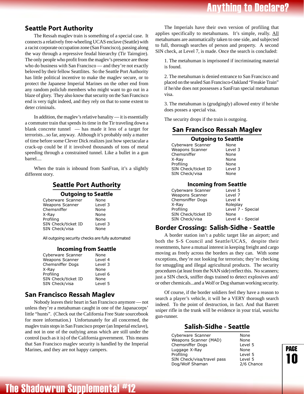## **Anything to Declare?**

### <span id="page-10-0"></span>**Seattle Port Authority**

The Ressah maglev train is something of a special case. It connects a relatively free-wheeling UCAS enclave (Seattle) with a racist corporate occupation zone (San Francisco), passing along the way through a repressive feudal hierarchy (Tir Tairngire). The only people who profit from the maglev's presence are those who do business with San Francisco — and they're not exactly beloved by their fellow Seattlites. So the Seattle Port Authority has little political incentive to make the maglev secure, or to protect the Japanese Imperial Marines on the other end from any random policlub members who might want to go out in a blaze of glory. They also know that security on the San Francisco end is very tight indeed, and they rely on that to some extent to deter criminals.

In addition, the maglev's relative banality — it is essentially a commuter train that spends its time in the Tir traveling down a blank concrete tunnel — has made it less of a target for terrorists...so far, anyway. Although it's probably only a matter of time before some Clever Dick realizes just how spectacular a crack-up could be if it involved thousands of tons of metal speeding through a constrained tunnel. Like a bullet in a gun barrel....

When the train is inbound from SanFran, it's a slightly different story.

### **Seattle Port Authority**

### **Outgoing to Seattle**

| Cyberware Scanner   | None    |
|---------------------|---------|
| Weapons Scanner     | Level 3 |
| Chemsniffer         | None    |
| X-Ray               | None    |
| Profiling           | None    |
| SIN Check/ticket ID | Level 3 |
| SIN Check/visa      | None    |
|                     |         |

All outgoing security checks are fully automated

### **Incoming from Seattle**

| Cyberware Scanner       | None    |
|-------------------------|---------|
| Weapons Scanner         | Level 4 |
| <b>Chemsniffer Dogs</b> | Level 3 |
| X-Ray                   | None    |
| Profiling               | Level 6 |
| SIN Check/ticket ID     | None    |
| SIN Check/visa          | Level 5 |
|                         |         |

### **San Francisco Ressah Maglev**

Nobody leaves their heart in San Francisco anymore — not unless they're a metahuman caught in one of the Japanacorps' little "hunts". (Check out the California Free State sourcebook for more information.) Unfortunately for all concerned, the maglev train stops in San Francisco proper (an Imperial enclave), and not in one of the outlying areas which are still under the control (such as it is) of the California government. This means that San Francisco maglev security is handled by the Imperial Marines, and they are not happy campers.

The Imperials have their own version of profiling that applies specifically to metahumans. It's simple, really. All metahumans are automatically taken to one side, and subjected to full, thorough searches of person and property. A second SIN check, at Level 7, is made. Once the search is concluded:

1. The metahuman is imprisoned if incriminating material is found.

2. The metahuman is denied entrance to San Francisco and placed on the sealed San Francisco-Oakland "Freakie Train" if he/she does not possesses a SanFran special metahuman visa.

3. The metahuman is (grudgingly) allowed entry if he/she does posses a special visa.

The security drops if the train is outgoing.

### **San Francisco Ressah Maglev**

### **Outgoing to Seattle**

| Cyberware Scanner   | None    |
|---------------------|---------|
| Weapons Scanner     | Level 3 |
| Chemsniffer         | None    |
| X-Ray               | None    |
| Profiling           | None    |
| SIN Check/ticket ID | Level 3 |
| SIN Check/visa      | None    |

### **Incoming from Seattle**

| Cyberware Scanner   | Level 5           |
|---------------------|-------------------|
| Weapons Scanner     | Level 7           |
| Chemsniffer Dogs    | Level 4           |
| X-Ray               | Roleplay          |
| Profiling           | Level 7 - Special |
| SIN Check/ticket ID | None              |
| SIN Check/visa      | Level 4 - Special |
|                     |                   |

### **Border Crossing: Salish-Sidhe - Seattle**

A border station isn't a public target like an airport; and both the S-S Council and Seattle/UCAS, despite their resentments, have a mutual interest in keeping freight and cargo moving as freely across the borders as they can. With some exceptions, they're not looking for terrorists; they're checking for smuggling and illegal agricultural products. The security procedures (at least from the NAN side) reflect this. No scanners; just a SIN check, sniffer dogs trained to detect explosives and/ or other chemicals...and a Wolf or Dog shaman working security.

Of course, if the border soldiers feel they have a reason to search a player's vehicle, it will be a VERY thorough search indeed. To the point of destruction, in fact. And that Barrett sniper rifle in the trunk will be evidence in your trial, *wasichu* gun-runner.

### **Salish-Sidhe - Seattle**

| Cyberware Scanner          | None       |
|----------------------------|------------|
| Weapons Scanner (MAD)      | None       |
| Chemsniffer Dogs           | Level 5    |
| Luggage X-Ray              | None       |
| Profiling                  | Level 5    |
| SIN Check/visa/travel pass | Level 5    |
| Dog/Wolf Shaman            | 2/6 Chance |
|                            |            |

page 10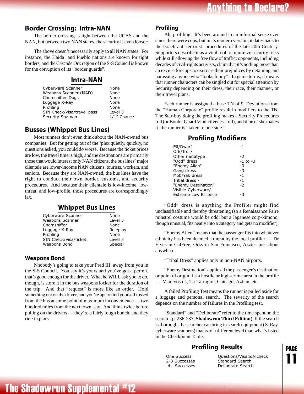### <span id="page-11-0"></span>**Border Crossing: Intra-NAN**

The border crossing is light between the UCAS and the NAN, but between two NAN states, the security is even looser:

The above doesn't necessarily apply to all NAN states: For instance, the Haida and Pueblo nations are known for tight borders, and the Cascade Ork region of the S-S Council is known for the corruption of its "border guards".

### **Intra-NAN**

| None        |
|-------------|
| None        |
| None        |
| None        |
| None        |
| Level 3     |
| 1/12 Chance |
|             |

### **Busses (Whippet Bus Lines)**

Most runners don't even think about the NAN-owned bus companies. But for getting out of the 'plex quietly, quickly, no questions asked, you could do worse. Because the ticket prices are low, the travel time is high, and the destinations are primarily those that would interest only NAN citizens, the bus lines' major clientele are lower-income NAN citizens, tourists, workers, and seniors. Because they are NAN-owned, the bus lines have the right to conduct their own border, customs, and security procedures. And because their clientele is low-income, lowthreat, and low-profile, those procedures are correspondingly lax.

### **Whippet Bus Lines**

| Cyberware Scanner     | None     |
|-----------------------|----------|
| Weapons Scanner       | Level 5  |
| Chemsniffer           | None     |
| Luggage X-Ray         | Roleplay |
| Profiling             | None     |
| SIN Check/visa/ticket | Level 3  |
| Weapons Bond          | Special  |
|                       |          |

### **Weapons Bond**

Nnobody's going to take your Pred III away from you in the S-S Council. You say it's yours and you've got a permit, that's good enough for the driver. What he WILL ask you to do, though, is store it in the bus weapons locker for the duration of the trip. And that "request" is more like an order. Hold something out on the driver, and you're apt to find yourself tossed from the bus at some point of maximum inconvenience — two hundred miles from the next town, say. And think twice before pulling on the drivers — they're a fairly tough bunch, and they ride in pairs.

### **Profiling**

Ah, profiling. It's been around in an informal sense ever since there were cops, but in its modern version, it dates back to the Israeli anti-terrorist procedures of the late 20th Century. Supporters describe it as a vital tool to minimize security risks while still allowing the free flow of traffic; opponents, including decades of civil-rights activists, claim that it's nothing more than an excuse for cops to exercise their prejudices by detaining and harassing anyone who "looks funny". In game terms, it means that runner characters can be singled out for special attention by Security depending on their dress, their race, their manner, or their travel plans.

Each runner is assigned a base TN of 9. Deviations from the "Human Corporate" profile result in modifiers to the TN. The Star-boy doing the profiling makes a Security Procedures roll (or Border Guard Vindictiveness roll), and if he or she makes it, the runner is "taken to one side."

### **Profiling Modifiers**

| Elf/Dwarf                  | -1       |
|----------------------------|----------|
| Ork/Troll/                 |          |
| Other metatype             | -2       |
| "Odd" dress                | -1 to -3 |
| "Enemy Alien"              | -3       |
| Gang dress                 | $-3$     |
| Mob/Yak dress              | $-1$     |
| Tribal dress -             | $-1$     |
| "Enemy Destination"        | -2       |
| Visible Cyberware/         |          |
| <b>Extreme Low Essence</b> |          |
|                            |          |

"Odd" dress is anything the Profiler might find unclassifiable and thereby threatening (so a Renaissance Faire minstrel costume would be odd; but a Japanese corp-kimono, though unusual, fits neatly into a category and gets no modifier).

"Enemy Alien" means that the passenger fits into whatever ethnicity has been deemed a threat by the local profiler — Tir Elves in CalFree, Orks in San Francisco, Azzies just about anywhere.

"Tribal Dress" applies only in non-NAN airports.

"Enemy Destination" applies if the passenger's destination or point of origin fits a hostile or high-crime area in the profile — Vladivostok, Tir Tairngire, Chicago, Aztlan, etc.

A failed Profiling Test means the runner is pulled aside for a luggage and personal search. The severity of the search depends on the number of failures in the Profiling test.

"Standard" and "Deliberate" refer to the time spent on the search. (p. 236-237, **Shadowrun Third Edition**) If the search is thorough, the searcher can bring in search equipment (X-Ray, cyberware scanners) that is of a different level than what's listed in the Checkpoint Table.

## **Profiling Results**

One Succ 2-3 Succ 4+ Succ

 9(,7 \$\* + esses Standard Search esses Deliberate Search

page 11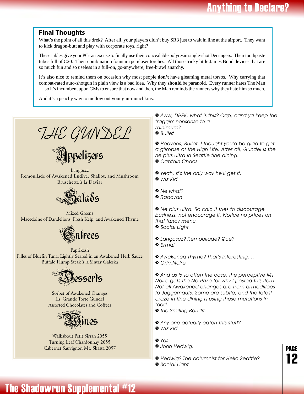### <span id="page-12-0"></span>**Final Thoughts**

What's the point of all this drek? After all, your players didn't buy SR3 just to wait in line at the airport. They want to kick dragon-butt and play with corporate toys, right?

These tables give your PCs an excuse to finally use their concealable polyresin single-shot Derringers. Their toothpaste tubes full of C20. Their combination fountain pen/laser torches. All those tricky little James Bond devices that are so much fun and so useless in a full-on, go-anywhere, free-brawl anarchy.

It's also nice to remind them on occasion why most people **don't** have gleaming metal torsos. Why carrying that combat-rated auto-shotgun in plain view is a bad idea. Why they **should** be paranoid. Every runner hates The Man — so it's incumbent upon GMs to ensure that now and then, the Man reminds the runners why they hate him so much.

And it's a peachy way to mellow out your gun-munchkins.

*THE GUNDEL*

<u>E</u>llppelizers

Langöscz Remoullade of Awakened Endive, Shallot, and Mushroom Bruschetta à la Daviar



Mixed Greens Macédoine of Dandelions, Fresh Kelp, and Awakened Thyme



```
Paprikash
Fillet of Bluefin Tuna, Lightly Seared in an Awakened Herb Sauce
            Buffalo Hump Steak à la Sintay Galeska
```


Sorbet of Awakened Oranges La Grande Torte Gundel Assorted Chocolates and Coffees



Walkabout Petit Sirrah 2055 Turning Leaf Chardonnay 2055 Cabernet Sauvignon Mt. Shasta 2057

*» Aww, DREK, what is this? Cap, can't ya keep the fraggin' nonsense to a minimum? » Bullet*

*» Heavens, Bullet. I thought you'd be glad to get a glimpse of the High Life. After all, Gundel is the ne plus ultra in Seattle fine dining. » Captain Chaos*

- *» Yeah, it's the only way he'll get it. » Wiz Kid*
- *» Ne what?*
- *» Radovan*

*» Ne plus ultra. So chic it tries to discourage business, not encourage it. Notice no prices on that fancy menu. » Social Light.*

*» Langoscz? Remoullade? Que? » Ermal*

*» Awakened Thyme? That's interesting....*

*» GrimNoire*

*» And as is so often the case, the perceptive Ms. Noire gets the No-Prize for why I posted this item. Not all Awakened changes are from armadilloes to Juggernauts. Some are subtle, and the latest craze in fine dining is using these mutations in food.*

> page 12

*» the Smiling Bandit.*

- *» Any one actually eaten this stuff?*
- *» Wiz Kid*
- *» Yes. » John Hedwig.*
- *» Hedwig? The columnist for Hello Seattle?*
- *» Social Light*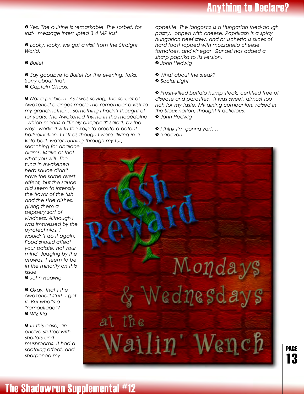**Anything to Declare?** 

*» Yes. The cuisine is remarkable. The sorbet, for inst- [message interrupted 3.4 MP lost]*

*» Looky, looky, we got a visit from the Straight World.*

*» Bullet*

*» Say goodbye to Bullet for the evening, folks. Sorry about that. » Captain Chaos.*

*» Not a problem. As I was saying, the sorbet of Awakened oranges made me remember a visit to my grandmother....something I hadn't thought of for years. The Awakened thyme in the macédoine which means a "finely chopped" salad, by the way worked with the kelp to create a potent hallucination. I felt as though I were diving in a kelp bed, water running through my fur,*

*appetite. The langoscz is a Hungarian fried-dough pastry, opped with cheese. Paprikash is a spicy hungarian beef stew, and bruschetta is slices of hard toast topped with mozzarella cheese, tomatoes, and vinegar. Gundel has added a sharp paprika to its version. » John Hedwig*

- *» What about the steak?*
- *» Social Light*

*» Fresh-killed buffalo hump steak, certified free of disease and parasites. It was sweet, almost too rich for my taste. My dining companion, raised in the Sioux nation, thought it delicious. » John Hedwig*

*» I think I'm gonna yarf....*

*» Radovan*

*searching for abalone clams. Make of that what you will. The tuna in Awakened herb sauce didn't have the same overt effect, but the sauce did seem to intensify the flavor of the fish and the side dishes, giving them a peppery sort of vividness. Although I was impressed by the pyrotechnics, I wouldn't do it again. Food should affect your palate, not your mind. Judging by the crowds, I seem to be in the minority on this issue.*

*» John Hedwig*

*» Okay, that's the Awakened stuff. I get it. But what's a "remoullade"? » Wiz Kid*

*» In this case, an endive stuffed with shallots and mushrooms. It had a soothing effect, and sharpened my*



page 13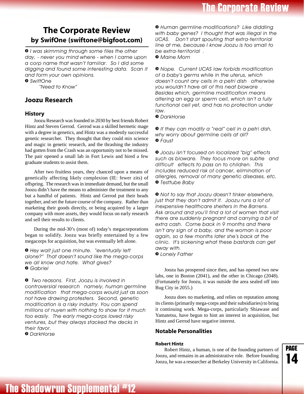## <span id="page-14-0"></span>**The Corporate Review by SwifOne (swiftone@bigfoot.com)**

*» I was skimming through some files the other day, - never you mind where - when I came upon a corp name that wasn't familiar. So I did some digging and found some interesting data. Scan it and form your own opinions.*

*» SwiftOne*

*"Need to Know"*

### **Joozu Research**

### **History**

Joozu Research was founded in 2030 by best friends Robert Hintz and Steven Gerrod. Gerrod was a skilled hermetic mage with a degree in genetics, and Hintz was a modestly successful genetic researcher. They thought that they could mix science and magic in genetic research, and the thrashing the industry had gotten from the Crash was an opportunity not to be missed. The pair opened a small lab in Fort Lewis and hired a few graduate students to assist them.

After two fruitless years, they chanced upon a means of genetically affecting likely complexion (IE: fewer zits) of offspring. The research was in immediate demand, but the small Joozu didn't have the means to administer the treatment to any but a handful of patients. Hintz and Gerrod put their heads together, and set the future course of the company. Rather than marketing their goods directly, or being acquired by a larger company with more assets, they would focus on early research and sell their results to clients.

During the mid-30's (most of) today's megacorporations began to solidify. Joozu was briefly entertained by a few megacorps for acquisition, but was eventually left alone.

*» Hey wait just one minute. "eventually left alone?" That doesn't sound like the mega-corps we all know and hate. What gives? » Gabriel*

*» Two reasons. First, Joozu is involved in controversial research namely, human germline modification that mega-corps would just as soon not have drawing protesters. Second, genetic modification is a risky industry. You can spend millions of nuyen with nothing to show for it much too easily. The early mega-corps loved risky ventures, but they always stacked the decks in their favor.*

*» DarkHorse*

*» Human germline modifications? Like diddling with baby genes? I thought that was illegal in the UCAS. Don't start spouting that extra-territorial line at me, because I know Joozu is too small to be extra-territorial . » Maine Mom*

*» Nope. Current UCAS law forbids modification of a baby's germs while in the uterus, which doesn't count any cells in a petri dish otherwise you wouldn't have all of this neat bioware . Besides which, germline modification means altering an egg or sperm cell, which isn't a fully functional cell yet, and has no protection under law.*

*» DarkHorse*

*» If they can modify a "real" cell in a petri dish, why worry about germline cells at all? » Faust*

*» Joozu isn't focused on localized "big" effects such as bioware. They focus more on subtle and difficult effects to pass on to children. This includes reduced risk of cancer, elimination of allergies, removal of many genetic diseases, etc. » Testtube Baby*

*» Not to say that Joozu doesn't tinker elsewhere, just that they don't admit it. Joozu runs a lot of inexpensive healthcare shelters in the Barrens. Ask around and you'll find a lot of women that visit there are suddenly pregnant and carrying a bit of extra cash. Come back in 9 months and there isn't any sign of a baby, and the woman is poor again, so a few months later she's back at the clinic. It's sickening what these bastards can get away with.*

*» Lonely Father*

Joozu has prospered since then, and has opened two new labs, one in Boston (2041), and the other in Chicago (2048). (Fortunately for Joozu, it was outside the area sealed off into Bug City in 2055.)

Joozu does no marketing, and relies on reputation among its clients (primarily mega-corps and their subsidiaries) to bring it continuing work. Mega-corps, particularly Shiawase and Yamatetsu, have begun to hint an interest in acquisition, but Hintz and Gerrod have negative interest.

### **Notable Personalities**

### **Robert Hintz**

Robert Hintz, a human, is one of the founding partners of Joozu, and remains in an administrative role. Before founding Joozu, he was a researcher at Berkeley University in California.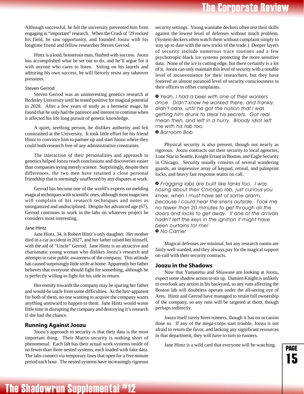## **The Corporate Review**

<span id="page-15-0"></span>Although successful, he felt the university prevented him from engaging in "important" research. When the Crash of '29 rocked his field, he saw opportunity, and founded Joozu with his longtime friend and fellow researcher Steven Gerrod.

Hintz is a loud, boisterous man, flushed with success. Joozu has accomplished what he set out to do, and he'll argue for it with anyone who cares to listen. Sitting on his laurels and admiring his own success, he will fiercely resist any takeover pressures.

#### Steven Gerrod

Steven Gerrod was an uninteresting genetics research at Berkeley University until he tested positive for magical potential in 2028. After a few years of study as a hermetic mage, he found that he only had the patience and interest to continue when it affected his life long pursuit of genetic knowledge.

A quiet, seething person, he dislikes authority and felt constrained at the University. It took little effort for his friend Hintz to convince him to partner up and start Joozu where they could both research free of any administrative constraints.

The interaction of their personalities and approach to genetics helped Joozu reach conclusions and discoveries easier than companies trying merely science. Surprisingly, despite their differences, the two men have retained a close personal friendship that is seemingly unaffected by any disputes at work.

Gerrod has become one of the world's experts on melding magical techniques with scientific ones, although most magicians will complain of his research techniques and notes as unorganized and undisciplined. Despite his advanced age (67), Gerrod continues to work in the labs on whatever project he considers most interesting.

#### Jane Hintz

Jane Hintz, 34, is Robert Hintz's only daughter. Her mother died in a car accident in 2027, and her father raised her himself, with the aid of "Uncle" Gerrod. Jane Hintz is an attractive and charismatic young woman who dislikes Joozu's research and attempts to raise public awareness of the company. This attitude has caused surprisingly little strife at home. Apparently her father believes that everyone should fight for something, although he is perfectly willing to fight for his side in return.

Her enmity towards the company may be sparing her father and would-be uncle from some difficulties. As the heir-apparent for both of them, no one wanting to acquire the company wants anything untoward to happen to them. Jane Hintz would waste little time in disrupting the company and destroying it's research if she had the chance.

### **Running Against Joozu**

Joozu's approach to security is that their data is the most important thing. Their Matrix security is nothing short of phenomenal. Each lab has their actual work systems inside of no fewer than three nested systems, each loaded with fake data. The labs connect via temporary lines that open for a five minute period each hour. The nested systems have increasingly rigorous security settings. Young wannabe deckers often test their skills against the lowest level of defenses without much problem. (System deckers often watch them without complaint simply to stay up to date with the new tricks of the trade.) Deeper layers of security include numerous trace routines and a few psychotropic black ice systems protecting the more sensitive data. None of the ice is cutting edge, but there certainly is a lot of it. Joozu can only maintain this level of security with a notable level of inconvenience for their researchers, but they have fostered an almost paranoid level of security consciousness in their offices to offset complaints.

*» Yeah, I had a beer with one of their workers once. Didn't know he worked there, and frankly, didn't care, until he got the notion that I was getting him drunk to steal his secrets. Got real mean then, and left in a hurry. Bloody idiot left me with his tab too. » Barroom Bob*

Physical security is also present, though not nearly as rigorous. Joozu contracts out their security to local agencies, Lone Star in Seattle, Knight Errant in Boston, and Eagle Security in Chicago. Security usually consists of several wandering guards, an impressive array of keypad, retinal, and palmprint locks, and heavy fast response teams on call.

*» Fragging labs are built like tanks too. I was nosing about their Chicago lab, just curious you know, when I must have set of some alarm, because I could hear the sirens outside. Took me no fewer than 20 minutes to get through all the doors and locks to get away. If one of the arrivals hadn't left the keys in the ignition it might have been curtains for me! » No Carrier*

Magical defenses are minimal, but any research rooms are fairly well warded, and they always pay for the magical support on-call with their security contracts.

### **Joozu in the Shadows**

Now that Yamatetsu and Shiawase are looking at Joozu, expect some shadow action to stir up. Damien Knight is unlikely to overlook any action in his backyard, so any runs affecting the Boston lab will doubtless operate under the all-seeing eye of Ares. Hintz and Gerrod have managed to retain full ownership of the company, so any runs will be targeted at them, though perhaps indirectly.

Joozu itself rarely hires runners, though it has on occasion done so. If any of the mega-corps start trouble, Joozu is not afraid to return the favor, and lacking any significant resources in that department, they will have to turn to runners.

Jane Hintz is a wild card that everyone will be watching.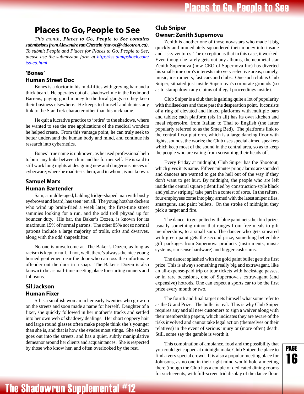## <span id="page-16-0"></span>**Places to Go, People to See**

*This month, Places to Go, People to See contains submissions from Alexandre van Chestein (havoc@videotron.ca). To submit People and Places for Places to Go, People to See, please use the submission form a[t http://tss.dumpshock.com/](http://tss.dumpshock.com/tss-cd.html) [tss-cd.html](http://tss.dumpshock.com/tss-cd.html)*

### **'Bones' Human Street Doc**

Bones is a doctor in his mid-fifties with greying hair and a thick beard. He operates out of a shadowclinic in the Redmond Barrens, paying good money to the local gangs so they keep their business elsewhere. He keeps to himself and denies any link to the Star Trek character other than his nickname.

He quit a lucrative practice to 'retire' to the shadows, where he wanted to see the true applications of the medical wonders he helped create. From this vantage point, he can truly seek to better understand the human body and mind, and continue his research into cybernetics.

Bones' true name is unknown, as he used professional help to burn any links between him and his former self. He is said to still work long nights at designing new and dangerous pieces of cyberware; where he road-tests them, and in whom, is not known.

### **Samuel Marx Human Bartender**

Sam, a middle-aged, balding fridge-shaped man with bushy eyebrows and beard, has seen 'em all. The young hotshot deckers who wind up brain-fried a week later, the first-time street sammies looking for a run, and the odd troll physad up for bouncer duty. His bar, the Baker's Dozen, is known for its maximum 15% of normal patrons. The other 85% not so normal patrons include a large majority of trolls, orks and dwarves, along with the odd shapeshifter.

No one is unwelcome at The Baker's Dozen, as long as racism is kept to null. If not, well, there's always the nice young horned gentlemen near the door who can toss the unfortunate offender out the door in a snap. The Baker's Dozen is also known to be a small-time meeting place for starting runners and Johnsons.

### **Sil Jackson Human Fixer**

Sil is a smallish woman in her early twenties who grew up on the streets and soon made a name for herself. Daughter of a fixer, she quickly followed in her mother's tracks and settled into her own web of shadowy dealings. Her short coppery hair and large round glasses often make people think she's younger than she is, and that is how she evades most stings. She seldom goes out into the streets, and has a quiet, subtly manipulative demeanor around her clients and acquaintances. She is respected by those who know her, and often overlooked by the rest.

### **Club Sniper Owner: Zenith Supernova**

Zenith is another one of those novastars who made it big quickly and immediately squandered their money into insane and risky ventures. The exception is that in this case, it worked. Even though he rarely gets out any albums, the neometal star Zenith Supernova (now CEO of Supernova Inc) has diverted his small-time corp's interests into very selective areas; namely, music, instruments, fast cars and clubs. One such club is Club Sniper, situated just inside Supernova's corporate grounds (so as to stamp down any claims of illegal proceedings inside).

Club Sniper is a club that is gaining quite a lot of popularity with thrillseekers and those past the desperation point. It consists of a ring of elevated and linked platforms with multiple bars and tables; each platform (six in all) has its own kitchen and meal répertoire, from Italian to Thai to English (the latter popularly referred to as the Smeg Bed). The platforms link to the central floor platform, which is a large dancing floor with lights, sounds, the works; the Club uses special aimed speakers which keep most of the sound in the central area, so as to keep the people who are eating from screaming their heads off.

Every Friday at midnight, Club Sniper has the Shootout, which gives it its name. Fifteen minutes prior, alarms are sounded and dancers are warned to get the hell out of the way if they don't want to get hurt. By midnight, the people who are left inside the central square (identified by construction-style black and yellow striping) take part in a contest of sorts. In the rafters, four employees come into play, armed with the latest sniper rifles, smartguns, and paint bullets. On the stroke of midnight, they pick a target and fire.

The dancer to get pelted with blue paint nets the third prize, usually something minor that ranges from free meals to gift memberships, to a small sum. The dancer who gets smeared with green paint gets the second prize, something better like gift packages from Supernova products (instruments, music systems, simsense hardware) and bigger cash sums.

The dancer splashed with the gold paint bullet gets the first prize. This is always something really big and extravagant, like an all-expense-paid trip or tour tickets with backstage passes, or in rare occasions, one of Supernova's extravagant (and expensive) hotrods. One can expect a sports car to be the first prize every month or two.

The fourth and final target nets himself what some refer to as the Grand Prize. The bullet is real. This is why Club Sniper requires any and all new customers to sign a waiver along with their membership papers, which indicates they are aware of the risks involved and cannot take legal action (themselves or their relatives) in the event of serious injury or (more often) death. Still, some say the gamble is worth it.

This combination of ambiance, food and the possibility that you could get capped at midnight make Club Sniper the place to find a very special crowd. It is also a popular meeting place for Johnsons, as no one in their right mind would hold a meeting there (though the Club has a couple of dedicated dining rooms for such events, with full-screen trid display of the dance floor.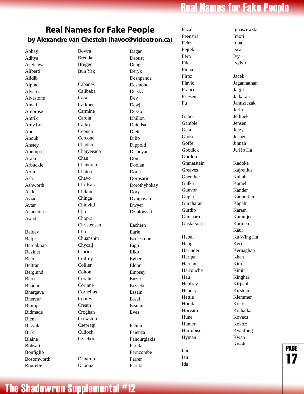## **Real Names for Fake People**

## <span id="page-17-0"></span>**Real Names for Fake People by Alexandre van Chestein (havoc@videotron.ca)**

Abhay Aditya Al-Shawa Aliberti Alidib Alpine Alvares Alvastone Amalfi Ambrose Amrik Amy Lo Anda Anouk Anstey Anumpa Araki Arbuckle Arun Ash Ashworth Astle Aviad Avtar Asuncion Awad Baldev Baljit Bardakjian Bazinet Beer Beltran Berglund Berti Bhadur Bhargava Bhereur Bhimji Bidmade Bient Bikyuk Birk Blaine Bohsali Bonfiglio Bosomworth

Bourelle

Bowra Brenda Brugger Bun Yak Cabanes Calibaba Cara Carkner Carmine Carola Cathro Cepuch Cercone Chadha Chaiyeeada Chan Chandran Chatoo Chavo Chi-Kan Chikun Chinga Chiovitti Cho Chopra Christensen Chu Chuanshin Chyczij Ciprick **Coilroy** Collier **Colton** Coralie Corinne Cornelius Courey Creath Croghan Crowston Csepregi Culloch **Czachor** Dabarno Dabouz

Dagan Daoust Denger Deryk Deshpande Desmond Detsky Dev Dewji Dezso Dhillon Dhindsa Dieter Dilip Dippold Dishoyan Don Doolan Doris Dorosario Dorothyhokay Dory Dvaipayan Dwyer Dzialowski Eachern Earle Ecclestone Eigo Eiko Egbert Eldon Empsey Enzer Erzsebet Essam Essel Etsumi Eves Fahim Faienza Fanourgiakis Farida Farncombe Farrer Faruki

Fazal Feenstra Fehr Fejtek Fern Filek Fiona Firoz Flavio Franco Friesen Fu Gabor Gamble Geta Ghose Goffe Goodick Gordon Granatstein Greaves Guenther Gulka Gunvor Gupta Gurcharan Gurdip Gursharn Gustafson Habal Hang Harinder Haripal Harnam Harrouche Hau Hebfray Hendry Hettie Horak Horvath Hune Hunter Hurtubise Hyman Iain Ian Ida

Ignaszewski Imori Iqbal Isca Ivy Ivylyn Jacek Jagannathan Jagjit Jaikaran Januszczak Jarin Jellinek Jensen Jerzy Jesper Jinnah Ju Ho Ha Kadoke Kajrenius Kallab Kamel Kander Kanporlam Kapahi Karam Karamjeet Karmen Kaur Ka Wing Ha Keri Kernaghan Khan Kim Kimit Kinghar Kirpaul Kirstein Klemmer Koko Kolhatkar Kovacs Kozicz Kwaifong Kwan Kwok

page <u>....</u><br>17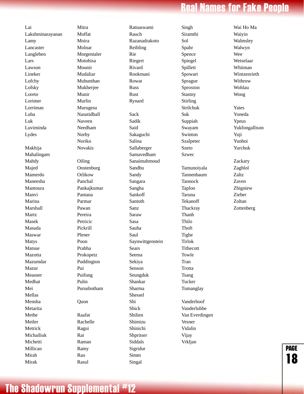## **Real Names for Fake People**

Wai Ho Ma

Lai Lakshminarayanan Lamy Lancaster Langleben Lars Lawson Lineker Lofchy Lofsky Loreto Lorimer Lorriman Luba Luk Luviminda Lydes Makhija Mahalingam Mahdy Majed Mamerdo Maneesha Mantoura Manvi Marina Marshall Martz Masek Masuda Maswar Matys Matsue Mazotta Mazumdar Mazur Measner Medhat Mei Mellas Mensha Metarita Methe Metler Metrick Michailiuk **Michetti** Millican Mirah Mirak

Mitra Moffat Moira Molnar Morgentaler Motohisa Mounir Mudaliar Muhunthan Mukherjee Munir Murlin Murugesu Nasutidball Naveen Needham Norby Noriko Novakis **Oiling Oostenburg** Orlikow Panchal Pankajkumar Pantana Parmar Pawan Pereira Petricic Pickrill Plener Poon Prabha Prokopetz Puddington Pui Puifung Pulin Purushotham Quon Raafat Rachelle Ragui Rai Raman Ramy Rao Rasul

Ratnaswami Rauch Razanadrakoto Reibling Rie Riegert Rivard Rookmani Rowat Russ Rust Rynard Sack Sadik Said Sakaguchi Salina Sallaberger Samavedham Sanaimahmoud Sandhu Sandy Sangara Sangha Sankoff Santoth Sanz Saraw Sasa Sauha Saul Saynwittgenstein Sears Seema Sekiya Senson Seungduk Shankar Sharma Shessel Shi Shick Shilien Shimizu Shinichi Shpritser Siddals Sigridur Simm Singal

Singh Siramthi Sol Spahr Spence Spiegel Spillett Spowart Sprague Sproxton Stastny Stirling Strilchuk Suk Suppiah Swayam Swinton Szalpeter Szeto Szwec Tamunoiyala Tannenbaum Tannock Taploo Taruna Tekanoff **Thackray** Thanh Thilo Thoft Tighe Tirlok Tithecott Towle Tran **Trotta** Tsang Tucker Tumanglay Vanderhoof Vanderlubbe Van Everdingen Vesner Vidalin Vijay Vrkljan

Waiyin Walmsley Walwyn Wee Wetselaar Whitman Wintzenrieth Withrow Wohlau Wong Yates Yoneda Ypeus Yukfongallison Yuji Yunhoi Yurchuk Zackary Zaghlol Zaltz Zaven

Zbigniew Zieber Zoltan Zottenberg

page

18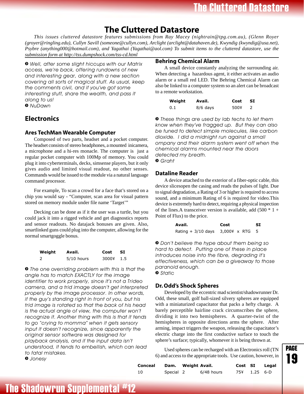## **The Cluttered Datastore**

<span id="page-19-0"></span>*This issues cluttered datastore features submissions from Ray Macey (nightrain@tpg.com.au), (Glenn Royer (groyer@ringling.edu), Cullyn Savill (someone@cullyn.com), Arclight (arclight@datahaven.de), Kwyndig (kwyndig@usa.net), Psybre (anything000@hotmail.com), and Yagathai (Yagathai@aol.com) To submit items to the cluttered datastore, use the submission form at http://tss.dumpshock.com/tss-cd.html*

*» Well, after some slight hiccups with our Matrix access, we're back, offering rundowns of new and interesting gear, along with a new section covering all sorts of magical stuff. As usual, keep the comments civil, and if you've got some interesting stuff, share the wealth, and pass it along to us! » NuDawn*

## **Electronics**

### **Ares TechMan Wearable Computer**

Composed of two parts, headset and a pocket computer. The headset consists of stereo headphones, a mounted inicamera, a microphone and a hi-res monacle. The computer is just a regular pocket computer with 100Mp of memory. You could plug it into cyberterminals, decks, simsense players, but it only gives audio and limited visual readout, no other senses. Commands would be issued to the module via a natural language command processor.

For example, To scan a crowd for a face that's stored on a chip you would say - "Computer, scan area for visual pattern stored on memory module under file name 'Target'"

Decking can be done as if it the user was a turtle, but you could jack it into a rigged vehicle and get diagnostics reports and sensor readouts. No datajack bonuses are given. Also, smartlinked guns could plug into the computer, allowing for the normal smartgoggle bonus.

| Weight | Avail.       | Cost  | -SI  |
|--------|--------------|-------|------|
| 2      | $5/10$ hours | 3000¥ | -1.5 |

*» The one overriding problem with this is that the angle has to match EXACTLY for the image identifier to work properly, since it's not a Trideo camera, and a trid image doesn't get interpreted properly by the image processor. In other words, if the guy's standing right in front of you, but his trid image is rotated so that the back of his head is the actual angle of view, the computer won't recognize it. Another thing with this is that it tends to go "crying to momma" when it gets sensory input it doesn't recognize, since apparently the original sensor software was designed for playback analysis, and if the input data isn't understood, it tends to embellish, which can lead to fatal mistakes. » Jonesy*

### **Behring Chemical Alarm**

A small device constantly analyzing the surrounding air. When detecting a hazardous agent, it either activates an audio alarm or a small red LED. The Behring Chemical Alarm can also be linked to a computer system so an alert can be broadcast to a remote workstation.

| Weight | Avail.     | Cost | <b>SI</b> |
|--------|------------|------|-----------|
| 0.1    | $8/6$ days | 500¥ |           |

*» These things are used by lab techs to let them know when they've fragged up. But they can also be tuned to detect simple molecules, like carbon dioxide. I did a midnight run against a small ompany and their alarm system went off when the chemical alarms mounted near the doors detected my breath. » Graht*

### **Dataline Reader**

A device attached to the exterior of a fiber-optic cable, this device slicesopen the casing and reads the pulses of light. Due to signal degradation, a Rating of 3 or higher is required to access sound, and a minimum Rating of 6 is required for video.This device is extremely hard to detect, requiring a physical inspection of the lines. A transceiver version is available, add  $(500 * 1 +$ Point of Flux) to the price.

| Avail.                                    | Cost | SI. |
|-------------------------------------------|------|-----|
| Rating $+3/10$ days $3,0004 \times RTG$ 5 |      |     |

*» Don't believe the hype about them being so hard to detect. Putting one of these in place introduces noise into the fibre, degrading it's effectiveness, which can be a giveaway to those paranoid enough. » Static*

### **Dr. Odd's Shock Spheres**

Developed by the eccentric mad scientist/shadowrunner Dr. Odd, these small, golf ball-sized silvery spheres are equipped with a miniaturized capacitator that packs a hefty charge. A barely perceptible hairline crack circumscribes the sphere, dividing it into two hemispheres. A quarter-twist of the hemispheres in opposite directions arms the sphere. After arming, impact triggers the weapon, releasing the capacitator's electric charge into the first conductive surface to touch the sphere's surface; typically, whomever it is being thrown at.

Used spheres can be recharged with an Electronics roll (TN 6) and access to the appropriate tools. Use caution, however, in

| PAGE |  |  |  |
|------|--|--|--|
|      |  |  |  |

| Conceal |           | Dam. Weight Avail. |            |              | Cost SI Legal |
|---------|-----------|--------------------|------------|--------------|---------------|
| - 10    | Special 2 |                    | 6/48 hours | 75¥ 1.25 6-D |               |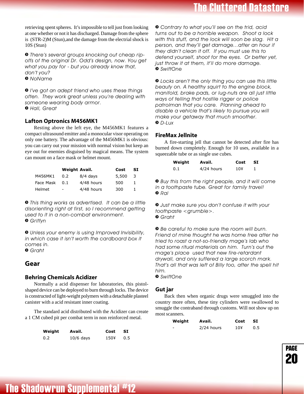<span id="page-20-0"></span>retrieving spent spheres. It's impossible to tell just from looking at one whether or not it has discharged. Damage from the sphere is (STR-2)M (Stun),and the damage from the electrial shock is 10S (Stun)

*» There's several groups knocking out cheap ripoffs of the original Dr. Odd's design, now. You get what you pay for - but you already know that, don't you? » NoName*

*» I've got an adept friend who uses these things often. They work great unless you're dealing with someone wearing body armor. » Hall, Great*

### **Lafton Optronics M456MK1**

Resting above the left eye, the M456MK1 features a compact ultrasound emitter and a monocular visor operating on only one battery. The advantage of the M456MK1 is obvious: you can carry out your mission with normal vision but keep an eye out for enemies disguised by magical means. The system can mount on a face mask or helmet mount.

|           | Weight Avail. |            | Cost  | SI |
|-----------|---------------|------------|-------|----|
| M456MK1   | 0.2           | $8/4$ days | 5,500 | -3 |
| Face Mask | 0.1           | 4/48 hours | 500   |    |
| Helmet    | ۰             | 4/48 hours | 300   |    |

*» This thing works as advertised. It can be a little disorienting right at first, so I recommend getting used to it in a non-combat environment. » Griffyn*

*» Unless your enemy is using Improved Invisibility, in which case it isn't worth the cardboard box it comes in.*

*» Graht*

### **Gear**

### **Behring Chemicals Acidizer**

Normally a acid dispenser for laboratories, this pistolshaped device can be deployed to burn through locks. The device is constructed of light-weight polymers with a detachable plasteel canister with a acid resistant inner coating.

The standard acid distributed with the Acidizer can create a 1 CM cubed pit per combat term in non reinforced metal.

| Weight | Avail.      | Cost | <b>SI</b> |
|--------|-------------|------|-----------|
| 0.2    | $10/6$ days | 150¥ | 0.5       |

*» Contrary to what you'll see on the trid, acid turns out to be a horrible weapon. Shoot a lock with this stuff, and the lock will soon be slag. Hit a person, and they'll get damage...after an hour if they didn't clean it off. If you must use this to defend yourself, shoot for the eyes. Or better yet, just throw it at them, it'll do more damage. » SwiftOne*

*» Locks aren't the only thing you can use this little beauty on. A healthy squirt to the engine block, manifold, brake pads, or lug-nuts are all just little ways of telling that hostile rigger or police patrolman that you care. Planning ahead to disable a vehicle that's likely to pursue you will make your getaway that much smoother. » D-Lux*

### **FireMax Jellnite**

A fire-starting jell that cannot be detected after fire has burned down completely. Enough for 10 uses, available in a squeezable tube or as single use cubes.

| Weight | Avail.       | Cost | - SI |
|--------|--------------|------|------|
| 0.1    | $4/24$ hours | 10¥  |      |

*» Buy this from the right people, and it will come in a toothpaste tube. Great for family travel! » Ral*

*» Just make sure you don't confuse it with your toothpaste <grumble>. » Graht*

*» Be careful to make sure the room will burn. Friend of mine thought he was home free after he tried to roast a not-so-friendly mage's lab who had some ritual materials on him. Turn's out the mage's place used that new fire-retardant drywall, and only suffered a large scorch mark. That's all that was left of Billy too, after the spell hit him.*

*» SwiftOne*

### **Gut jar**

Back then when organic drugs were smuggled into the country more often, these tiny cylinders were swallowed to smuggle the contraband through customs. Will not show up on most scanners.

| Weight | Avail.       | Cost | -SI |
|--------|--------------|------|-----|
| -      | $2/24$ hours | 10Y  | 0.5 |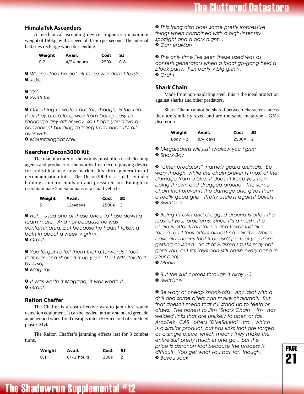### <span id="page-21-0"></span>**HimalaTek Ascenders**

A mechanical ascending device. Supports a maximum weight of 150kg, with a speed of 0.75m per second. The internal batteries recharge when descending.

| Weight | Avail.     | Cost | -SI |
|--------|------------|------|-----|
| 0.2    | 4/24 hours | 250¥ | 0.8 |

*» Where does he get all those wonderful toys? » Joker*

- *» ???*
- *» SwiftOne*

*» One thing to watch out for, though, is the fact that they are a long way from being easy to recharge any other way, so I hope you have a convenient building to hang from once it's all over with.*

*» Mountaingoat Mel*

### **Kaercher Decon3000 Kit**

The manufacturer of the worlds most often used cleaning agents and producer of the worlds first decon praying device for individual use now markets his third generation of decontamination kits. The Decon3000 is a small cylinder holding a micro emulsion and pressured air. Enough to decontaminate 2 metahumans or a small vehicle.

| Weight | Avail.      | Cost    | <b>SI</b> |
|--------|-------------|---------|-----------|
| 5      | $12/4$ days | 2500¥ 3 |           |

*» Heh. Used one of these once to hose down a team mate. And not because he was contaminated, but because he hadn't taken a bath in about a week <grin>. » Graht*

*» You forgot to tell them that afterwards I took that can and shoved it up your 0.01 MP deleted by sysop*

*» Magaga*

*» It was worth it Magaga, it was worth it. » Graht*

### **Raiton Chaffer**

The Chaffer is a cost effective way to jam ultra sound detection equipment. It can be loaded into any standard grenade auncher and when fired disrupts into a 5x5m cloud of shredded plastic Mylar.

The Raiton Chaffer's jamming effects last for 3 combat turns.

| Weight | Avail.     | Cost | -SI |
|--------|------------|------|-----|
| 0.1    | 6/72 hours | 200¥ |     |

*» This thing also does some pretty impressive things when combined with a high-intensity spotlight and a dark night... » CameraMan*

*» The only time I've seen these used was as confetti generators when a local go-gang held a block party. Fun party <big grin>. » Graht*

### **Shark Chain**

Made from non-oxidating steel, this is the ideal protection against sharks and other predators.

Shark Chain cannot be shared between characters unless they are similarly sized and are the same metatype - GMs discretion.

| Weight    | Avail.     | Cost    | - SI |
|-----------|------------|---------|------|
| Body $+2$ | $8/4$ days | 2500¥ 2 |      |

*» Megalodons will just swallow you \*grin\* » Shark Boy*

*» "other predators", namely guard animals. Be wary though, while the chain prevents most of the damage from a bite, it doesn't keep you from being thrown and dragged around. The same chain that prevents the damage also gives them a really good grip. Pretty useless against bullets. » SwiftOne*

*» Being thrown and dragged around is often the least of your problems. Since it's a mesh, the chain is effectively fabric and flexes just like fabric, and thus offers almost no rigidity. Which basically means that it doesn't protect you from getting crushed. So that Piasma's tusks may not gore you, but it's jaws can still crush every bone in your body. » Munin*

*» But the suit comes through it okay :-0 » SwiftOne*

*» Be wary of cheap knock-offs. Any idiot with a drill and some pliers can make chainmail. But that doesn't mean that it'll stand up to teeth or claws. The honest to Jim "Shark Chain" tm has welded links that are unlikely to open or fail. ArcoTek CAS offers "DiveShield" tm , which is a similar product, but has links that are forged as a single piece which means they make the entire suit pretty much in one go , but the price is astronomical because the process is difficult. You get what you pay for, though. » Bayou Jack*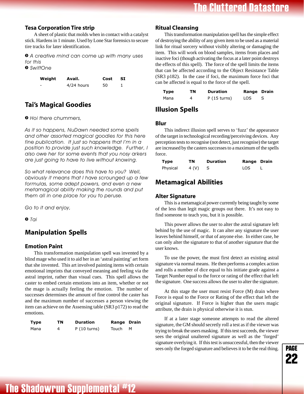### <span id="page-22-0"></span>**Tesa Corporation Tire strip**

A sheet of plastic that molds when in contact with a catalyst stick. Hardens in 1 minute. Used by Lone Star forensics to secure tire tracks for later identification.

*» A creative mind can come up with many uses for this*

*» SwiftOne*

| Weight | Avail.     | Cost | -SI |
|--------|------------|------|-----|
| -      | 4/24 hours | 50   |     |

## **Tai's Magical Goodies**

### *» Hoi there chummers,*

*As it so happens, NuDawn needed some spells and other assorted magical goodies for this here fine publication. It just so happens that I'm in a position to provide just such knowledge. Further, I also owe her for some events that you nosy arkers are just going to have to live without knowing.*

*So what relevance does this have to you? Well, obviously it means that I have scrounged up a few formulas, some adept powers, and even a new metamagical ability making the rounds and put them all in one place for you to peruse.*

*Go to it and enjoy,*

*» Tai*

### **Manipulation Spells**

### **Emotion Paint**

This transformation manipulation spell was invented by a blind mage who used it to aid her in an 'astral painting' art form that she invented. This art involved painting items with certain emotional imprints that conveyed meaning and feeling via the astral imprint, rather than visual cues. This spell allows the caster to embed certain emotions into an item, whether or not the mage is actually feeling the emotion. The number of successes determines the amount of fine control the caster has and the maximum number of successes a person viewing the item can achieve on the Assensing table (SR3 p172) to read the emotions.

| <b>Type</b> | TN | <b>Duration</b> | <b>Range Drain</b> |   |
|-------------|----|-----------------|--------------------|---|
| Mana        | 4  | P(10 turns)     | Touch              | м |

### **Ritual Cleansing**

This transformation manipulation spell has the simple effect of destroying the ability of any given item to be used as a material link for ritual sorcery without visibly altering or damaging the item. This will work on blood samples, items from places and inactive foci (though activating the focus at a later point destroys the effects of this spell). The force of the spell limits the items that can be affected according to the Object Resistance Table (SR3 p182). In the case if foci, the maximum force foci that can be affected is equal to the force of the spell.

| Type | ΤN | <b>Duration</b> | Range Drain |  |
|------|----|-----------------|-------------|--|
| Mana | 4  | P(15 turns)     | LOS.        |  |

### **Illusion Spells**

### **Blur**

This indirect illusion spell serves to 'fuzz' the appearance of the target in technological recording/perceiving devices. Any perception tests to recognise (not detect, just recognise) the target are increased by the casters successes to a maximum of the spells force.

| Type     | ΤN    | <b>Duration</b> | <b>Range Drain</b> |  |
|----------|-------|-----------------|--------------------|--|
| Physical | 4 (V) |                 | LOS                |  |

### **Metamagical Abilities**

### **Alter Signature**

This is a metamagical power currently being taught by some of the less than legit magic groups out there. It's not easy to find someone to teach you, but it is possible.

This power allows the user to alter the astral signature left behind by the use of magic. It can alter any signature the user leaves behind himself, or that of anyone else. In either case, he can only alter the signature to that of another signature that the user knows.

To use the power, the must first detect an existing astral signature via normal means. He then performs a complex action and rolls a number of dice equal to his initiate grade against a Target Number equal to the force or rating of the effect that left the signature. One success allows the user to alter the signature.

At this stage the user must resist Force (M) drain where Force is equal to the Force or Rating of the effect that left the original signature. If Force is higher than the users magic attribute, the drain is physical otherwise it is stun.

If at a later stage someone attempts to read the altered signature, the GM should secretly roll a test as if the viewer was trying to break the users masking. If this test succeeds, the viewer sees the original unaltered signature as well as the 'forged' signature overlying it. If this test is unsuccessful, then the viewer sees only the forged signature and believes it to be the real thing.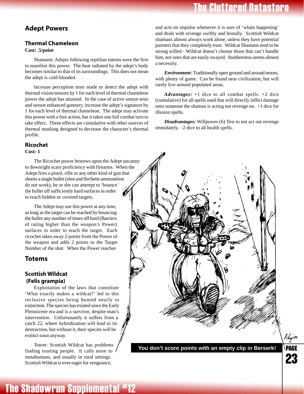## **The Cluttered Datastore**

### <span id="page-23-0"></span>**Adept Powers**

## **Thermal Chameleon**

### **Cost: .5/point**

Shamanic Adepts following reptilian totems were the first to manifest this power. The heat radiated by the adept's body becomes similar to that of its surroundings. This does not mean the adept is cold-blooded.

Increase perception tests made to detect the adept with thermal vision/sensors by 1 for each level of thermal chameleon power the adept has attained. In the case of active sensor tests and sensor enhanced gunnery, increase the adept's signature by 1 for each level of thermal chameleon. The adept may activate this power with a free action, but it takes one full combat turn to take effect. These effects are cumulative with other sources of thermal masking designed to decrease the character's thermal profile.

### **Ricochet**

### **Cost: 1**

The Ricochet power bestows upon the Adept uncanny to downright scary proficiency with firearms. When the Adept fires a pistol, rifle or any other kind of gun that shoots a single bullet (shot and flechette ammunition do not work), he or she can attempt to 'bounce' the bullet off sufficiently hard surfaces in order to reach hidden or covered targets.

The Adept may use this power at any time, as long as the target can be reached by bouncing the bullet any number of times off hard (Barriers of rating higher than the weapon's Power) surfaces in order to reach the target. Each ricochet takes away 2 points from the Power of the weapon and adds 2 points to the Target Number of the shot. When the Power reaches

### **Totems**

### **Scottish Wildcat (Felis grampia)**

Exploitation of the laws that constitute 'What exactly makes a wildcat?' led to this reclusive species being hunted nearly to extinction. The species has existed since the Early Pleistocene era and is a survivor, despite man's intervention. Unfortunately it suffers from a catch 22, where hybridization will lead to its destruction, but without it, their species will be extinct soon anyway.

*Totem:* Scottish Wildcat has problems finding trusting people. It calls more to metahumans, and usually in rural settings. Scottish Wildcat is ever eager for vengeance,

and acts on impulse whenever it is sure of 'whats happening' and deals with revenge swiftly and brutally. Scottish Wildcat shamans almost always work alone, unless they have potential partners that they completely trust. Wildcat Shamans tend to be strong willed - Wildcat doesn't choose those that can't handle him, nor ones that are easily swayed. Stubborness seems almost a necessity.

*Environment:* Traditionally open ground and around moors, with plenty of game. Can be found near civilization, but will rarely live around populated areas.

*Advantages:* +1 dice to all combat spells. +2 dice (cumulative) for all spells used that will directly inflict damage onto someone the shaman is acting out revenge on. +1 dice for illusion spells.

*Disadvantages:* Willpower (6) Test to not act out revenge immidately. -2 dice to all health spells.



**You don't score points with an empty clip in Berserk!**

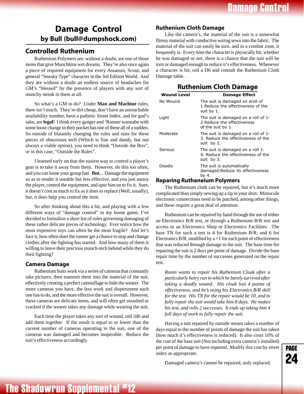## <span id="page-24-0"></span>**Damage Control by Bull (bull@dumpshock.com)**

### **Controlled Ruthenium**

Ruthenium Polymers are, without a doubt, are one of those items that give Munchkins wet dreams. They're also once again a piece of required equipment for every Assassin, Scout, and general "Sneaky Type" character in the 3rd Edition World. And they are without a doubt an endless source of headaches for GM's "blessed" by the presence of players with any sort of munchy streak in them at all.

So what's a GM to do? Under **Man and Machine** rules, there isn't much. They're dirt cheap, don't have an unreachable availability number, have a pathetic Street Index, and for god's sake, are **legal**! I think every ganger and 'Runner wannabe with some loose change in their pocket has one of these all of a sudden. So outside of blatantly changing the rules and stats for these pieces of obnoxious tech (Which is fine and dandy, but not always a viable option), you need to think "Outside the Box", or in this case, "Outside the Rules".

I learned early on that the easiest way to control a player's gear is to take it away from them. However, do this too often, and you can loose your group fast. **But**... Damage the equipment so as to render it useable but less effective, and you just annoy the player, control the equipment, and spur him on to fix it. Sure, it doesn't cost as much to fix as it does to replace (Well, usually), but, it does help you control the item.

So after thinking about this a bit, and playing with a few different ways of "damage control" in my home game, I've decided to formalize a short list of rules governing damaging of these rather delicate pieces of technology. Ever notice how the most expensive toys can often be the most fragile? And let's face it, how often does the runner get a chance to stop and change clothes after the fighting has started. And how many of them is willing to leave their precious munch-tech behind while they do their fighting?

### **Camera Damage**

Ruthenium Suits work via a series of cameras that constantly take pictures, then transmit them into the material of the suit, effectively creating a perfect camouflage to hide the wearer. The more cameras you have, the less work and dispersment each one has to do, and the more effective the suit is overall. However, these cameras are delicate items, and will often get smashed or cracked if the wearer takes any damage while wearing the suit.

Each time the player takes any sort of wound, roll 2d6 and add them together. If the result is equal to or lower than the current number of cameras operating in the suit, one of the cameras was damaged and becomes inoperable. Reduce the suit's effectiveness accordingly.

### **Ruthenium Cloth Damage**

Like the camera's, the material of the suit is a somewhat flimsy material with conductive wiring sewn into the fabric. The material of the suit can easily be torn, and in a combat zone, it frequently is. Every time the character is physically hit, whether he was damaged or not, there is a chance that the suit will be torn or damaged enough to reduce it's effectiveness. Whenever a character is hit, roll a D6 and consult the Ruthenium Cloth Damage table.

### **Ruthenium Cloth Damage**

| <b>Wound Level</b> | <b>Damage Effect</b>                                                                    |
|--------------------|-----------------------------------------------------------------------------------------|
| No Wound           | The suit is damaged on aroll of<br>1. Reduce the effectiveness of the<br>suit by 1.     |
| Light              | The suit is damaged on a roll of 1-<br>2. Reduce the effectiveness<br>of the suit by 1. |
| Moderate           | The suit is damaged on a roll of 1-<br>3. Reduce the effectiveness of the<br>suit by 2. |
| Serious            | The suit is damaged on a roll 1-<br>4. Reduce the effectiveness of the<br>suit by 3.    |
| Deadly             | The suit is automatically<br>damaged.Reduce its effectiveness<br>by 4.                  |

### **Reparing Rutheneium Polymers**

The Ruthenium cloth can be repaired, but it's much more complicated than simply sewing up a rip in your shirt. Miniscule electronic connections need to be patched, among other things, and these require a great deal of attention.

Ruthenium can be repaired by hand through the use of either an Electronics B/R test, or through a Ruthenium B/R test and access to an Electronics Shop or Electronics Facilities. The base TN for such a test is 4 for Ruthenium B/R, and 6 for Electronics  $B/R$ , modified by  $a+1$  for each point of effectiveness that was reduced through damage to the suit. The base time for repairing the suit is 2 days per point of damage. Divide the base repair time by the number of successes generated on the repair test.

*Ronin wants to repair his Ruthenium Cloak after a particularly hairy run in which he barely survived after taking a deadly wound. His cloak lost 4 points of effectiveness, and he's using his Electronics B/R skill for the test. His TN for the repair would be 10, and to fully repair the suit would take him 8 days. He makes his test, and rolls 2 successes. It ends up taking him 4 full days of work to fully repair the suit.*

Having a suit repaired by outside means takes a number of days equal to the number of points of damage the suit has taken (how much it's effectiveness is reduced). It also costs 10% of the cost of the base suit (Not including extra camera's installed) per point of damage to have repaired. Modify this cost by street index as appropriate.

Damaged camera's cannot be repaired, only replaced.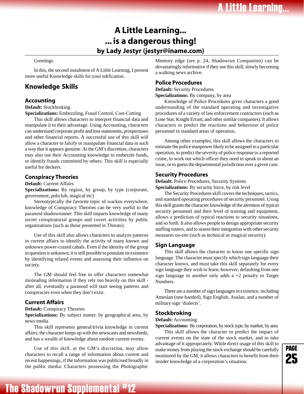## **A Little Learning... ... is a dangerous thing! by Lady Jestyr (jestyr@iname.com)**

#### <span id="page-25-0"></span>Greetings.

In this, the second instalment of A Little Learning, I present more useful Knowledge skills for your edification.

### **Knowledge Skills**

### **Accounting**

#### **Default:** Stockbroking

**Specializations:** Embezzling, Fraud Control, Cost-Cutting

This skill allows characters to interpret financial data and manipulate it to their advantage. Using Accounting, characters can understand corporate profit and loss statements, prospectuses and other financial reports. A successful use of this skill will allow a character to falsify or manipulate financial data in such a way that it appears genuine. At the GM's discretion, characters may also use their Accounting knowledge to embezzle funds, or identify frauds committed by others. This skill is especially useful for deckers.

### **Conspiracy Theories**

**Default:** Current Affairs

**Specializations:** By region, by group, by type (corporate, government, policlub, magical etc)

Stereotypically the favorite topic of wackos everywhere, knowledge of Conspiracy Theories can be very useful to the paranoid shadowrunner. This skill imparts knowledge of many secret conspiratorial groups and covert activities by public organizations (such as those presented in Threats).

Use of this skill also allows characters to analyze patterns in current affairs to identify the activity of many known and unknown power-crazed cabals. Even if the identity of the group in question is unknown, it is still possible to postulate its existence by identifying related events and assessing their influence on society.

The GM should feel free to offer characters somewhat misleading information if they rely too heavily on this skill after all, eventually a paranoid will start seeing patterns and conspiracies even when they don't exist.

### **Current Affairs**

**Default:** Conspiracy Theories

**Specializations:** By subject matter, by geographical area, by news media

This skill represents general/trivia knowledge in current affairs; the character keeps up with the newscasts and newsfeeds, and has a wealth of knowledge about random current events.

Use of this skill, at the GM's discretion, may allow characters to recall a range of information about current and recent happenings, if the information was publicised broadly in the public media. Characters possessing the Photographic

The Shadowrun Supplemental #12

Memory edge (see p. 24, Shadowrun Companion) can be devastatingly informative if they use this skill, slowly becoming a walking news archive.

### **Police Procedures**

**Default:** Security Procedures

**Specializations:** By company, by area

Knowledge of Police Procedures gives characters a good understanding of the standard operating and investigative procedures of a variety of law enforcement contractors (such as Lone Star, Knight Errant, and other similar companies). It allows characters to predict the reactions and behaviour of police personnel in standard areas of operation.

Among other examples, this skill allows the characters to estimate the police manpower likely to be assigned to a particular operation, to predict the severity of police response to a reported crime, to work out which officer they need to speak to about an issue, or to guess the departmental jurisdiction over a given case.

#### **Security Procedures**

**Default:** Police Procedures, Security Systems **Specializations:** By security force, by risk level

The Security Procedures skill covers the techniques, tactics, and standard operating procedures of security personnel. Using this skill grants the character knowledge of the alertness of typical security personnel and their level of training and equipment, allows a prediction of typical reactions to security situations, and so forth. It also allows people to design appropriate security staffing rosters, and to assess their integration with other security measures on-site (such as technical or magical security).

### **Sign Language**

This skill allows the character to know one specific sign language. The character must specify which sign language their character knows, and must take this skill separately for every sign language they wish to learn; however, defaulting from one sign language to another only adds  $a + 2$  penalty to Target Numbers.

There are a number of sign languages in existence, including Ameslan (one-handed), Sign English, Auslan, and a number of military sign 'dialects'.

### **Stockbroking**

#### **Default:** Accounting

**Specializations:** By corporation, by stock type, by market, by area This skill allows the character to predict the impact of current events on the state of the stock market, and to take advantage of it appropriately. While direct usage of this skill to make money from playing the stock exchange should be carefully monitored by the GM, it allows characters to benefit from their insider knowledge of a corporation's situation.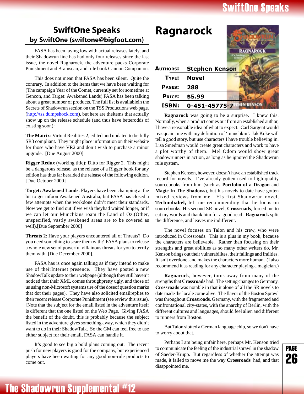## **SwiftOne Speaks**

## <span id="page-26-0"></span>**SwiftOne Speaks by SwiftOne (swiftone@bigfoot.com)**

FASA has been laying low with actual releases lately, and their Shadowrun line has had only four releases since the last issue, the novel Ragnarock, the adventure packs Corporate Punishment and Brainscan, and rule book Cannon Companion.

This does not mean that FASA has been silent. Quite the contrary. In addition to the items that we have been waiting for (The campaign Year of the Comet, currently set for sometime at Gencon, and Target: Awakened Lands) FASA has been talking about a great number of products. The full list is availablein the Secrets of Shadowrun section on the TSS Productions web page. (http://tss.dumpshock.[com\), but here are theitems](http://tss.dumpshock.com) that actually show up on the release schedule (and thus have betterodds of existing soon):

**The Matrix**: Virtual Realities 2, edited and updated to be fully SR3 compliant. They might place information on their website for those who have VR2 and don't wish to purchase a minor upgrade. [Due August 2000]

**Rigger Redux** (working title): Ditto for Rigger 2. This might be a dangerous release, as the release of a Rigger book for any edition has thus far heralded the release of the following edition. [Due October 2000]

**Target: Awakened Lands**: Players have been champing at the bit to get infoon Awakened Australia, but FASA has closed a few attempts when the workdone didn't meet their standards. Now we get to find out if we wish theyhad waited longer, or if we can let our Munchkins roam the Land of Oz.(Other, unspecified, vastly awakened areas are to be covered as well).[Due September 2000]

**Threats 2**: Have your players encountered all of Threats? Do you need something to scare them with? FASA plans to release a whole new set of powerful villainous threats for you to terrify them with. [Due December 2000].

FASA has is once again talking as if they intend to make use of theirInternet presence. They have posted a new ShadowTalk update to their webpage (although they still haven't noticed that their XML comes throughpretty ugly, and those of us using non-Microsoft systems tire of the doseof question marks that dot their pages). They have also solicited emailreplies to their recent release Corporate Punishment (see review this issue). [Note that the subject for the email listed in the adventure itself is different that the one listed on the Web Page. Giving FASA the benefit of the doubt, this is probably because the subject listed in the adventure gives something away, which they didn't want to do in their ShadowTalk. So the GM can feel free to use either subject for their email, FASA can handle it.]

It's good to see big a bold plans coming out. The recent push for new players is good for the company, but experienced players have been waiting for any good non-rule products to come out.



**Ragnarock** was going to be a surprise. I knew this. Normally, when a product comes out from an established author, I have a reasonable idea of what to expect. Carl Sargent would reacquaint me with my definition of 'munchkin'. Jak Koke will tell a good story, but use characters I have trouble believing in. Lisa Smedman would create great characters and work to have a plot worthy of them. Mel Odom would show great shadowrunners in action, as long as he ignored the Shadowrun rule system.

Stephen Kenson, however, doesn't have an established track record for novels. I've already gotten used to high-quality sourcebooks from him (such as **Portfolio of a Dragon** and **Magic In The Shadows**), but his novels to date have gotten mixed reviews from me. His first Shadowrun novel, **Technobabel,** left me recommending that he focus on sourcebooks. His second SR novel, **Crossroads**, forced me to eat my words and thank him for a good read. **Ragnarock** split the difference, and leaves me indifferent.

The novel focuses on Talon and his crew, who were introduced in Crossroads. This is a plus in my book, because the characters are believable. Rather than focusing on their strengths and great abilities as so many other writers do, Mr. Kenson brings out their vulnerabilites, their failings and frailties. It isn't overdone, and makes the characters more human. (I also recommend it as reading for any character playing a magician.)

**Ragnarock**, however, turns away from many of the strengths that **Crossroads** had. The setting changes to Germany. **Crossroads** was notable in that it alone of all the SR novels to date made the locale come alive. The flavor of the Boston Sprawl was throughout **Crossroads**. Germany, with the fragmented and confrontational city-states, with the anarchy of Berlin, with the different cultures and languages, should feel alien and different to runners from Boston.

But Talon slotted a German language chip, so we don't have to worry about that.

Perhaps I am being unfair here, perhaps Mr. Kenson tried to communicate the feeling of the industrial sprawl in the shadow of Saeder-Krupp. But regardless of whether the attempt was made, it failed to move me the way **Crossroads** had, and that disappointed me.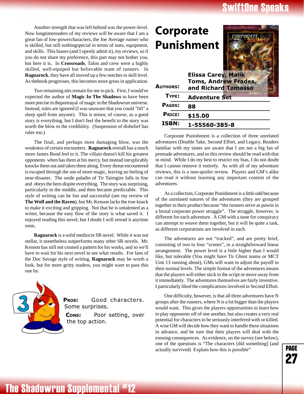## **iftOne Speaks**

<span id="page-27-0"></span>Another strength that was left behind was the power-level. Now longtimereaders of my reviews will be aware that I am a great fan of low-powercharacters, the Joe Average runner who is skilled, but still nothingspecial in terms of stats, equipment, and skills. This biases (and I openly admit it), my reviews, so if you do not share my preference, this part may not bother you, but here it is. In **Crossroads**, Talon and crew were a highly skilled, well-equiped but believable team of runners. In **Ragnarock**, they have all moved up a few notches in skill level. As thebook progresses, this becomes more gross in application.

Two remaining nits remain for me to pick. First, I would've expected the author of **Magic In The Shadows** to have been more precise in theportrayal of magic in the Shadowrun universe. Instead, rules are ignored (I was unaware that you could "lift" a sleep spell from anyone). This is minor, of course, as a good story is everything, but I don't feel the benefit to the story was worth the blow to the credibility. (Suspension of disbelief has rules too.)

The final, and perhaps most damaging blow, was the weakness of certain encounters. **Ragnarock** overall has a much more James Bond feel to it. The villain doesn't kill his greatest opponents when has them at his mercy, but instead inexplicably knocks them out and takes them along. Every threat encountered is escaped through the use of more magic, leaving no feeling of near-disaster. The snide paladin of Tir Tairngire falls in line and obeys the hero dispite everything. The story was surprising, particularly in the middle, and then became predictable. This style of writing can be fun and successful (see my review of **The Wolf and the Raven**), but Mr. Kenson lacks the true knack to make it exciting and gripping. Not that he is untalented as a writer, because the easy flow of the story is what saved it. I enjoyed reading this novel, but I doubt I will reread it anytime soon.

**Ragnarock** is a solid mediocre SR novel. While it was not stellar, it nonetheless outperforms many other SR novels. Mr. Kenson has still not created a pattern for his works, and so we'll have to wait for his next novel to see what results. For fans of the Doc Savage style of writing, **Ragnarock** may be worth a look, but for more gritty readers, you might want to pass this one by.



PROS: os: Good characters. Some surprises. CONS: or setting, over the top action.



Corporate Punishment is a collection of three unrelated adventures (Double Take, Second Effort, and Legacy. Readers familiar with my tastes are aware that I am not a big fan of premade adventures, and so this review should be read with that in mind. While I do my best to restrict my bias, I do not doubt that I cannot remove it entirely. As with all of my adventure reviews, this is a non-spoiler review. Players and GM's alike can read it without learning any important content of the adventures.

As a collection, Corporate Punishment is a little odd because of the unrelated natures of the adventures (they are grouped together in theis product because "the runners serve as pawns in a brutal corporate power struggle". The struggle, however, is different for each adventure. A GM with a taste for conspiracy can attempt to weave them together, but it will be quite a task, as different corporations are involved in each.

The adventures are not "tracked", and are pretty brief, consisting of two to four "scenes", in a straightforward linear arrangement. The power level is a little higher than I would like, but tolerable (You might have Tir Ghost teams or MCT Unit 13 running about), GMs will want to adjust the payoff to their normal levels. The simple format of the adventures means that the players will either stick to the script or move away from it immediately. The adventures themselves are fairly inventive. I particularly liked the complications involved in Second Effort.

One difficulty, however, is that all three adventures have N groups after the runners, where N is a lot bigger than the players would want. This gives the players opportunities to learn how to play opponents off of one another, but also creates a very real potential for characters to be seriously interfered with or killed. A wise GM will decide how they want to handle these situations in advance, and be sure that their players will deal with the ensuing consequences. As evidence, on the survey (see below), one of the questions is "The characters [did something] (and actually survived) Explain how this is possible"

page .....<br>27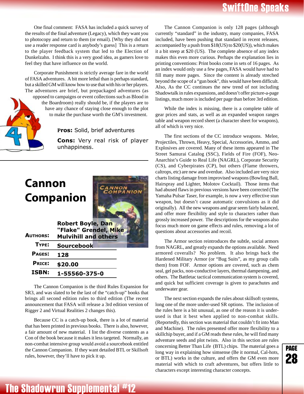<span id="page-28-0"></span>One final comment: FASA has included a quick survey of the results of the final adventure (Legacy), which they want you to photocopy and return to them (or email). [Why they did not use a reader response card is anybody's guess] This is a return to the player feedback system that led to the Election of Dunkelzahn. I think this is a very good idea, as gamers love to feel they that have influence on the world.

Corporate Punishment is strictly average fare in the world of FASA adventures. A bit more lethal than is perhaps standard, but a skilled GM will know how to use that with his or her players. The adventures are brief, but prepackaged adventures (as opposed to campaigns or event collections such as Blood in the Boardroom) really should be, if the players are to have any chance of staying close enough to the plot to make the purchase worth the GM's investment.

**Pros:** Solid, brief adventures

**Cons:** Very real risk of player unhappiness.

## **Cannon Companion**



| <b>AUTHORS:</b> | <b>Robert Boyle, Dan</b><br>"Flake" Grendel, Mike<br><b>Mulvihill and others</b> |
|-----------------|----------------------------------------------------------------------------------|
| TYPF:           | <b>Sourcebook</b>                                                                |
| PAGES:          | 128                                                                              |
| <b>PRICE:</b>   | \$20.00                                                                          |
| <b>ISBN:</b>    | 1-55560-375-0                                                                    |

The Cannon Companion is the third Rules Expansion for SR3, and was slated to be the last of the "catch-up" books that brings all second edition rules to third edition (The recent announcement that FASA will release a 3rd edition version of Rigger 2 and Virtual Realities 2 changes this).

Because CC is a catch-up book, there is a lot of material that has been printed in previous books. There is also, however, a fair amount of new material. I list the diverse contents as a Con of the book because it makes it less targeted. Normally, an non-combat intensive group would avoid a sourcebook entitled the Cannon Companion. If they want detailed BTL or Skillsoft rules, however, they'll have to pick it up.

The Cannon Companion is only 128 pages (although currently "standard" in the industry, many companies, FASA included, have been pushing that standard in recent releases, accompanied by a push from \$18(US) to \$20(US)), which makes it a bit steep at \$20 (US). The complete absence of any index makes this even more curious. Perhaps the explanation lies in printing conventions: Print books come in sets of 16 pages. As an index would only use a few pages, FASA would have had to fill many more pages. Since the content is already streched beyond the scope of a "gun book", this would have been difficult. Also, As the CC continues the new trend of not including Shadowtalk in rules expansions, and doesn't offer picture-a-page listings, much more is included per page than before 3rd edition.

While the index is missing, there is a complete table of gear prices and stats, as well as an expanded weapon ranges table and weapon record sheet (a character sheet for weapons), all of which is very nice.

The first sections of the CC introduce weapons. Melee, Projectiles, Thrown, Heavy, Special, Accessories, Ammo, and Explosives are covered. Many of these items appeared in The Street Samurai Catalog (SSC), Fields of Fire (FOF), Neo-Anarchist's Guide to Real Life (NAGRL), Corporate Security (CS), and Cyberpirates (CP), but others (Flame throwers, caltrops, etc) are new and overdue. Also included are very nice charts listing damage from improvised weapons (Bowling Ball, Hairspray and Lighter, Molotov Cocktail). Those items that had abused flaws in previous versions have been corrected (The Yamaha Pulsar Taser, for example, is now a very effective stun weapon, but doesn't cause automatic convulsions as it did originally). All the new weapons and gear seem fairly balanced, and offer more flexibility and style to characters rather than grossly increased power. The descriptions for the weapons also focus much more on game effects and rules, removing a lot of questions about accessories and recoil.

The Armor section reintroduces the subtle, social armors from NAGRL, and greatly expands the options available. Need armored coveralls? No problem. It also brings back the Hardened Military Armor (or "Bug Suits", as my group calls them) from FOF. Armor options are covered, such as chem seal, gel packs, non-conductive layers, thermal dampening, and others. The Battletac tactical communication system is covered, and quick but sufficient coverage is given to parachutes and underwater gear.

The next section expands the rules about skillsoft systems, long one of the more under-used SR options. The inclusion of the rules here is a bit unusual, as one of the reason it is underused is that it best when applied to non-combat skills. (Reportedly, this section was material that couldn't fit into Man and Machine). The rules presented offer more flexibility to a skillchip buyer, and if a GM reads these rules, he will find many adventure seeds and plot twists. Also in this section are rules concerning Better Than Life (BTL) chips. The material goes a long way in explaining how simsense (Be it normal, Cal-hots, or BTL) works in the culture, and offers the GM even more material with which to craft adventures, but offers little to characters except interesting character concepts.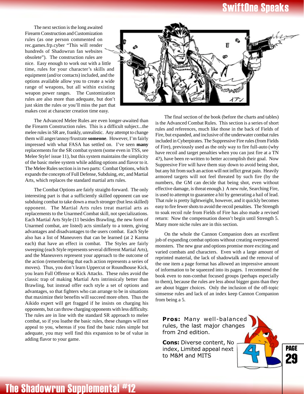## **iftOne Speaks**

The next section is the long awaited Firearm Construction and Customization rules (as one person commented on rec.games.frp.cyber "This will render hundreds of Shadowrun fan websites obsolete"). The construction rules are nice. Easy enough to work out with a little time, rules for your character's skills and equipment (and/or contacts) included, and the options available allow you to create a wide range of weapons, but all within existing weapon power ranges. The Customization rules are also more than adequate, but don't just skim the rules or you'll miss the part that makes cost at character creation time easy.



The Advanced Melee Rules are even longer-awaited than the Firearm Construction rules. This is a difficult subject...the melee rules in SR are, frankly, unrealistic. Any attempt to change them will anger/annoy/frustrate **someone**. However, I'm fairly impressed with what FASA has settled on. I've seen **many** replacements for the SR combat system (some even in TSS, see Melee Style! issue 11), but this system maintains the simplicity of the basic melee system while adding options and flavor to it. The Melee Rules section is in two parts: Combat Options, which expands the concepts of Full Defense, Subduing, etc, and Martial Arts, which replaces the standard martial arts rules.

The Combat Options are fairly straight-forward. The only interesting part is that a sufficiently skilled opponent can use subduing combat to take down a much stronger (but less skilled) opponent. The Martial Arts rules treat martial arts as replacements to the Unarmed Combat skill, not specializations. Each Martial Arts Style (11 besides Brawling, the new form of Unarmed combat, are listed) acts similarly to a totem, giving advantages and disadvantages to the users combat. Each Style also has a list of Maneuvers that can be learned (at 2 Karma each) that have an effect in combat. The Styles are fairly sweeping (each Style represents several different Martial Arts), and the Maneuvers represent your approach to the outcome of the action (remembering that each action represents a series of moves). Thus, you don't learn Uppercut or Roundhouse Kick, you learn Full Offense or Kick Attacks. These rules avoid the classic trap of making Martial Arts intrinsicaly better than Brawling, but instead offer each style a set of options and advantages, so that fighters who can arrange to be in situations that maximize their benefits will succeed more often. Thus the Aikido expert will get fragged if he insists on charging his opponents, but can throw charging opponents with less difficulty. The rules are in line with the standard SR approach to melee combat, so if you loathe the basic rules, these changes will not appeal to you, whereas if you find the basic rules simple but adequate, you may well find this expansion to be of value in adding flavor to your game.

The final section of the book (before the charts and tables) is the Advanced Combat Rules. This section is a series of short rules and references, much like those in the back of Fields of Fire, but expanded, and inclusive of the underwater combat rules included in Cyberpirates. The Suppressive Fire rules (from Fields of Fire), previously used as the only way to fire full-auto (why have recoil and target penalties when you can just fire at a TN 4?), have been re-written to better accomplish their goal. Now Suppresive Fire will have them stay down to avoid being shot, but any hit from such an action will not inflict great pain. Heavily armored targets will not feel threated by such fire (by the numbers, the GM can decide that being shot, even without effective damage, is threat enough.) A new rule, Searching Fire, is used to attempt to guarantee a hit by generating a hail of lead. That rule is pretty lightweight, however, and it quickly becomes easy to fire fewer shots to avoid the recoil penalties. The Strength to soak recoil rule from Fields of Fire has also made a revised return: Now the compensation doesn't begin until Strength 5. Many more niche rules are in this section.

On the whole the Cannon Companion does an excellent job of expanding combat options without creating overpowered monsters. The new gear and options promise more exciting and varied combats and characters. Even with a large amount of reprinted material, the lack of shadowtalk and the removal of the one item a page format has allowed an impressive amount of information to be squeezed into its pages. I recommend the book even to non-combat focused groups (perhaps especially to them), because the rules are less about bigger guns than they are about bigger choices. Only the inclusion of the off-topic simsense rules and lack of an index keep Cannon Companion from being a 5.

Pros: Many well-balanced rules, the last major changes from 2nd edition.

Cons: Diverse content, No index, Limited appeal next to M&M and MITS